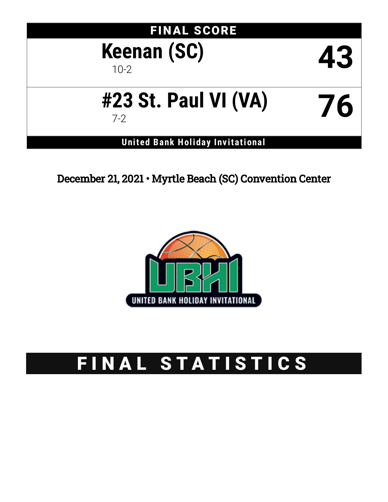# FINAL SCORE **Keenan (SC)** 10-2 **43**

# **#23 St. Paul VI (VA)** 7-2 **76**

**United Bank Holiday Inv itational**

December 21, 2021 • Myrtle Beach (SC) Convention Center



# FINAL STATISTICS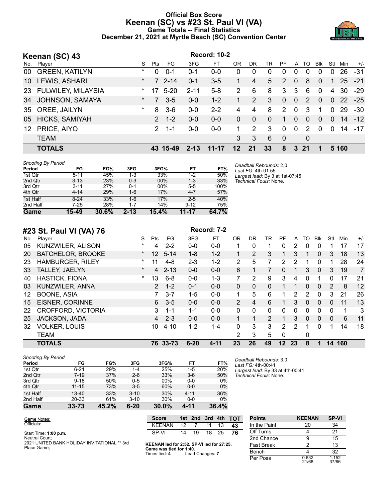#### **Official Box Score Keenan (SC) vs #23 St. Paul VI (VA) Game Totals -- Final Statistics December 21, 2021 at Myrtle Beach (SC) Convention Center**



|     | Keenan (SC) 43            |         |                |           |          | <b>Record: 10-2</b> |                |          |          |               |          |               |          |          |               |       |
|-----|---------------------------|---------|----------------|-----------|----------|---------------------|----------------|----------|----------|---------------|----------|---------------|----------|----------|---------------|-------|
| No. | Player                    | S.      | Pts            | FG        | 3FG      | FT.                 | OR             | DR       | TR       | PF.           | A        | TO            | Blk      | Stl      | Min           | $+/-$ |
| 00  | <b>GREEN, KATILYN</b>     | *       | 0              | $0 - 1$   | $0 - 1$  | $0 - 0$             | 0              | $\Omega$ | 0        | 0             | $\Omega$ | $\Omega$      | 0        | $\Omega$ | 26            | $-31$ |
| 10  | LEWIS, ASHARI             | $\star$ |                | $72 - 14$ | $0 - 1$  | $3-5$               |                | 4        | 5        | 2             | $\Omega$ | 8             | $\Omega$ | 1        | 25            | $-21$ |
| 23  | <b>FULWILEY, MILAYSIA</b> | $\star$ | 17             | $5 - 20$  | $2 - 11$ | $5 - 8$             | $\overline{2}$ | 6        | 8        | 3             | 3        | 6             | $\Omega$ | 4        | 30            | $-29$ |
| 34  | JOHNSON, SAMAYA           | $\ast$  | $\overline{7}$ | $3 - 5$   | $0 - 0$  | $1 - 2$             |                | 2        | 3        | $\Omega$      | $\Omega$ | $\mathcal{P}$ | $\Omega$ | $\Omega$ | <sup>22</sup> | $-25$ |
| 35  | OREE, JAILYN              | $\ast$  | 8              | $3-6$     | $0 - 0$  | $2 - 2$             | 4              | 4        | 8        | $\mathcal{P}$ | $\Omega$ | 3             |          | 0        | 29            | $-30$ |
| 05  | HICKS, SAMIYAH            |         | $\mathcal{P}$  | $1 - 2$   | $0 - 0$  | $0 - 0$             | $\Omega$       | $\Omega$ | $\Omega$ | 1             | $\Omega$ | $\Omega$      | $\Omega$ | $\Omega$ | 14            | $-12$ |
| 12  | PRICE, AIYO               |         | $\mathcal{P}$  | $1 - 1$   | $0 - 0$  | $0 - 0$             | 1              | 2        | 3        | $\Omega$      | $\Omega$ | 2             | $\Omega$ | $\Omega$ | 14            | $-17$ |
|     | <b>TEAM</b>               |         |                |           |          |                     | 3              | 3        | 6        | $\Omega$      |          | $\Omega$      |          |          |               |       |
|     | <b>TOTALS</b>             |         | 43             | 15-49     | $2 - 13$ | $11 - 17$           | 12             | 21       | 33       | 8             | 3        | 21            |          |          | 5 1 6 0       |       |

| <b>Shooting By Period</b> |
|---------------------------|
|                           |

Place Game;

| .<br>Period | FG       | FG%   | 3FG      | 3FG%  | FT       | FT%   |
|-------------|----------|-------|----------|-------|----------|-------|
| 1st Qtr     | $5 - 11$ | 45%   | 1-3      | 33%   | $1 - 2$  | 50%   |
| 2nd Qtr     | $3 - 13$ | 23%   | $0 - 3$  | 00%   | $1 - 3$  | 33%   |
| 3rd Qtr     | $3 - 11$ | 27%   | $0 - 1$  | 00%   | $5 - 5$  | 100%  |
| 4th Qtr     | $4 - 14$ | 29%   | $1 - 6$  | 17%   | $4 - 7$  | 57%   |
| 1st Half    | $8 - 24$ | 33%   | 1-6      | 17%   | $2 - 5$  | 40%   |
| 2nd Half    | $7 - 25$ | 28%   | $1 - 7$  | 14%   | $9 - 12$ | 75%   |
| Game        | 15-49    | 30.6% | $2 - 13$ | 15.4% | 11-17    | 64.7% |

*Deadball Rebounds:* 2,0 *Last FG:* 4th-01:55 *Largest lead:* By 3 at 1st-07:45 *Technical Fouls:* None.

|  | #23 St. Paul VI (VA) 76 |  |  |
|--|-------------------------|--|--|

| No. | $1.23$ as:<br>Player      | S       | Pts           | FG       | 3FG      | FT       | OR             | DR       | TR       | PF            | A  | TO           | Blk          | Stl      | Min | $+/-$          |
|-----|---------------------------|---------|---------------|----------|----------|----------|----------------|----------|----------|---------------|----|--------------|--------------|----------|-----|----------------|
| 05  | <b>KUNZWILER, ALISON</b>  | *       | 4             | $2 - 2$  | $0 - 0$  | $0 - 0$  |                | $\Omega$ |          | 0             | 2  | $\Omega$     | 0            |          | 17  | 17             |
| 20  | <b>BATCHELOR, BROOKE</b>  | $\ast$  | 12            | $5 - 14$ | $1 - 8$  | $1 - 2$  |                | 2        | 3        |               | 3  | 1            | 0            | 3        | 18  | 13             |
| 23  | <b>HAMBURGER, RILEY</b>   | $\ast$  | 11            | $4 - 8$  | $2 - 3$  | $1 - 2$  | 2              | 5        |          | 2             | 2  | 1            | 0            |          | 28  | 24             |
| 33  | <b>TALLEY, JAELYN</b>     | $\star$ | 4             | $2 - 13$ | $0 - 0$  | $0 - 0$  | 6              |          |          | $\Omega$      |    | 3            | $\Omega$     | 3        | 19  | $\overline{7}$ |
| 40  | <b>HASTICK, FIONA</b>     | $\star$ | 13            | $6 - 8$  | $0 - 0$  | $1 - 3$  |                | 2        | 9        | 3             | 4  | 0            |              | 0        | 17  | 21             |
| 03  | KUNZWILER, ANNA           |         | $\mathcal{P}$ | $1 - 2$  | $0 - 1$  | $0 - 0$  | $\mathbf{0}$   | 0        | 0        |               |    | $\Omega$     | 0            | 2        | 8   | 12             |
| 12  | <b>BOONE, ASIA</b>        |         |               | $3 - 7$  | $1 - 5$  | $0 - 0$  | 1              | 5        | 6        |               | 2  | 2            | 0            | 3        | 21  | 26             |
| 15  | EISNER, CORINNE           |         | 6.            | $3 - 5$  | $0 - 0$  | $0 - 0$  | $\overline{2}$ | 4        | 6        |               | 3  | $\Omega$     | $\mathbf{0}$ | $\Omega$ | 11  | 13             |
| 22  | <b>CROFFORD, VICTORIA</b> |         | 3             | $1 - 1$  | $1 - 1$  | $0 - 0$  | $\Omega$       | $\Omega$ | $\Omega$ | $\Omega$      | 0  | 0            | $\Omega$     | $\Omega$ | 1   | 3              |
| 25  | JACKSON, JADA             |         | 4             | $2 - 3$  | $0 - 0$  | $0 - 0$  |                |          | 2        |               | 3  | $\mathbf{0}$ | $\mathbf{0}$ | $\Omega$ | 6   | 11             |
| 32  | <b>VOLKER, LOUIS</b>      |         | 10            | $4 - 10$ | 1-2      | $1 - 4$  | $\Omega$       | 3        | 3        | $\mathcal{P}$ | 2  | 1            | 0            |          | 14  | 18             |
|     | <b>TEAM</b>               |         |               |          |          |          | 2              | 3        | 5        | 0             |    | 0            |              |          |     |                |
|     | <b>TOTALS</b>             |         |               | 76 33-73 | $6 - 20$ | $4 - 11$ | 23             | 26       | 49       | $12 \,$       | 23 | 8            |              | 14       | 160 |                |

**Record: 7-2** 

| <b>Shooting By Period</b> |           |       |          |        |          |       |
|---------------------------|-----------|-------|----------|--------|----------|-------|
| Period                    | FG        | FG%   | 3FG      | 3FG%   | FT       | FT%   |
| 1st Qtr                   | $6 - 21$  | 29%   | $1 - 4$  | 25%    | $1 - 5$  | 20%   |
| 2nd Qtr                   | $7 - 19$  | 37%   | $2 - 6$  | 33%    | $3-6$    | 50%   |
| 3rd Qtr                   | $9 - 18$  | 50%   | $0 - 5$  | $00\%$ | $0 - 0$  | 0%    |
| 4th Qtr                   | $11 - 15$ | 73%   | $3-5$    | 60%    | $0 - 0$  | $0\%$ |
| 1st Half                  | $13 - 40$ | 33%   | $3 - 10$ | 30%    | $4 - 11$ | 36%   |
| 2nd Half                  | 20-33     | 61%   | $3 - 10$ | 30%    | $0 - 0$  | 0%    |
| Game                      | $33 - 73$ | 45.2% | $6 - 20$ | 30.0%  | 4-11     | 36.4% |

*Deadball Rebounds:* 3,0 *Last FG:* 4th-00:41 *Largest lead:* By 33 at 4th-00:41 *Technical Fouls:* None.

| Game Notes:                                                    | <b>Score</b>                              |     |       |       | 1st 2nd 3rd 4th TOT |
|----------------------------------------------------------------|-------------------------------------------|-----|-------|-------|---------------------|
| Officials:                                                     | <b>KFFNAN</b>                             | 12. |       | 11    | 43                  |
| Start Time: 1:00 p.m.                                          | SP-VI                                     |     | 14 19 | 18 25 |                     |
| Neutral Court;<br>2021 UNITED BANK HOLIDAY INVITATIONAL ** 3rd | KEENAN led for 2:52. SP-VI led for 27:25. |     |       |       |                     |

| <b>Points</b>     | <b>KEENAN</b>  | <b>SP-VI</b>   |
|-------------------|----------------|----------------|
| In the Paint      | 20             | 34             |
| Off Turns         | 4              | 21             |
| 2nd Chance        | g              | 15             |
| <b>Fast Break</b> | 2              | 13             |
| Bench             |                | 32             |
| Per Poss          | 0.632<br>21/68 | 1.152<br>37/66 |

**KEENAN led for 2:52. SP-VI led for 27:25. Game was tied for 1:40.** Times tied: **4** Lead Changes: **7**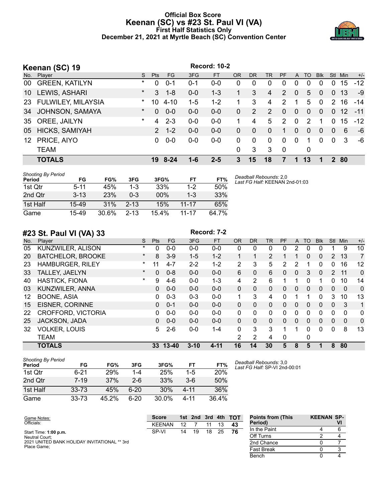#### **Official Box Score Keenan (SC) vs #23 St. Paul VI (VA) First Half Statistics Only December 21, 2021 at Myrtle Beach (SC) Convention Center**



|                 | Keenan (SC) 19        |         |              |          |         | <b>Record: 10-2</b> |           |              |                |                |              |          |              |                |      |       |
|-----------------|-----------------------|---------|--------------|----------|---------|---------------------|-----------|--------------|----------------|----------------|--------------|----------|--------------|----------------|------|-------|
| No.             | Player                | S.      | <b>Pts</b>   | FG       | 3FG     | <b>FT</b>           | <b>OR</b> | <b>DR</b>    | <b>TR</b>      | <b>PF</b>      | $\mathsf{A}$ | TO       | <b>Blk</b>   | <b>Stl</b>     | Min  | $+/-$ |
| 00              | <b>GREEN, KATILYN</b> | $\ast$  | 0            | $0 - 1$  | $0 - 1$ | $0 - 0$             | 0         | 0            | 0              | 0              | 0            | $\Omega$ | $\Omega$     | 0              | 15   | $-12$ |
| 10              | LEWIS, ASHARI         | $\star$ | 3            | $1 - 8$  | $0 - 0$ | $1 - 3$             |           | 3            | $\overline{4}$ | 2              | $\mathbf{0}$ | 5        | $\mathbf{0}$ | $\mathbf{0}$   | 13   | -9    |
|                 | 23 FULWILEY, MILAYSIA | $\star$ | 10           | $4 - 10$ | $1 - 5$ | $1 - 2$             |           | 3            | 4              | $\mathcal{P}$  |              | 5        | $\Omega$     | $\mathcal{P}$  | 16   | $-14$ |
| 34              | JOHNSON, SAMAYA       | $\star$ | $\Omega$     | $0 - 0$  | $0-0$   | $0 - 0$             | $\Omega$  | 2            | 2              | $\Omega$       | $\Omega$     | $\Omega$ | $\Omega$     | $\mathbf{0}$   | 12   | $-11$ |
| 35              | OREE, JAILYN          | $\star$ | 4            | $2 - 3$  | $0-0$   | $0 - 0$             |           | 4            | 5              | $\overline{2}$ | $\mathbf{0}$ | 2        | 1            | 0              | 15   | $-12$ |
| 05              | HICKS, SAMIYAH        |         | $\mathbf{2}$ | $1 - 2$  | $0-0$   | $0 - 0$             | $\Omega$  | $\mathbf{0}$ | $\overline{0}$ | 1              | 0            | $\Omega$ | $\mathbf{0}$ | $\overline{0}$ | 6    | -6    |
| 12 <sup>°</sup> | PRICE, AIYO           |         | 0            | $0 - 0$  | $0-0$   | $0 - 0$             | $\Omega$  | $\Omega$     | $\Omega$       | 0              | $\Omega$     |          | $\Omega$     | $\Omega$       | 3    | -6    |
|                 | <b>TEAM</b>           |         |              |          |         |                     | 0         | 3            | 3              | $\mathbf 0$    |              | 0        |              |                |      |       |
|                 | <b>TOTALS</b>         |         |              | 19 8-24  | 1-6     | $2 - 5$             | 3         | 15           | 18             | 7              | 1            | 13       | 1            |                | 2 80 |       |

| Shooting By Period<br>Period | FG        | FG%   | 3FG       | 3FG%     | FТ      | FT%   |
|------------------------------|-----------|-------|-----------|----------|---------|-------|
| 1st Qtr                      | $5 - 11$  | 45%   | 1-3       | 33%      | $1 - 2$ | 50%   |
| 2nd Qtr                      | $3 - 13$  | 23%   | $0 - 3$   | $00\%$   | $1 - 3$ | 33%   |
| 1st Half                     | $15 - 49$ | 31%   | $2 - 1.3$ | 15%      | 11-17   | 65%   |
| Game                         | 15-49     | 30.6% | $2 - 13$  | $15.4\%$ | 11-17   | 64.7% |

*Deadball Rebounds:* 2,0 *Last FG Half:* KEENAN 2nd-01:03

### **#23 St. Paul VI (VA) 33 Record: 7-2**

| No. | ___<br>$\cdots$<br>Plaver | S        | <b>Pts</b> | FG.     | 3FG      | <b>FT</b> | <b>OR</b>      | <b>DR</b> | TR             | PF       | A        | TO | <b>Blk</b> | <b>Stl</b>     | Min          | $+/-$          |
|-----|---------------------------|----------|------------|---------|----------|-----------|----------------|-----------|----------------|----------|----------|----|------------|----------------|--------------|----------------|
| 05  | KUNZWILER, ALISON         | $\star$  | 0          | $0 - 0$ | $0 - 0$  | $0 - 0$   | 0              | 0         | 0              | 0        | 2        | 0  | 0          |                | 9            | 10             |
| 20  | <b>BATCHELOR, BROOKE</b>  | $\ast$   | 8          | $3-9$   | $1 - 5$  | $1 - 2$   |                | 1         | $\overline{2}$ |          |          | 0  | 0          | $\overline{2}$ | 13           | 7              |
| 23  | <b>HAMBURGER, RILEY</b>   | $\ast$   | 11         | $4 - 7$ | $2 - 2$  | $1 - 2$   | $\overline{2}$ | 3         | 5              | 2        | 2        | 1  | 0          | 0              | 16           | 12             |
| 33  | TALLEY, JAELYN            | $^\star$ | $\Omega$   | $0 - 8$ | $0 - 0$  | $0 - 0$   | 6              | $\Omega$  | 6              | 0        | 0        | 3  | 0          | $\overline{2}$ | 11           | $\Omega$       |
| 40  | <b>HASTICK, FIONA</b>     | $\star$  | 9          | $4-6$   | $0 - 0$  | $1 - 3$   | 4              | 2         | 6              | 1        | 1        | 0  |            | 0              | 10           | 14             |
| 03  | KUNZWILER, ANNA           |          | 0          | $0 - 0$ | $0 - 0$  | $0 - 0$   | 0              | $\Omega$  | $\Omega$       | 0        | $\Omega$ | 0  | 0          | $\Omega$       | $\mathbf{0}$ | $\overline{0}$ |
| 12  | <b>BOONE, ASIA</b>        |          | 0          | $0 - 3$ | $0 - 3$  | $0 - 0$   |                | 3         | 4              | 0        |          |    | 0          | 3              | 10           | 13             |
| 15  | EISNER, CORINNE           |          | 0          | $0 - 1$ | $0 - 0$  | $0 - 0$   | 0              | 0         | 0              | $\Omega$ | 0        | 0  | 0          | 0              | 3            | 1              |
| 22  | <b>CROFFORD, VICTORIA</b> |          | 0          | $0 - 0$ | $0 - 0$  | $0 - 0$   | 0              | 0         | 0              | 0        | 0        | 0  | 0          | 0              | 0            | $\mathbf{0}$   |
| 25  | JACKSON, JADA             |          | $\Omega$   | $0 - 0$ | $0 - 0$  | $0 - 0$   | 0              | $\Omega$  | 0              | $\Omega$ | 0        | 0  | 0          | 0              | $\Omega$     | $\mathbf 0$    |
| 32  | <b>VOLKER, LOUIS</b>      |          | 5          | $2-6$   | $0 - 0$  | $1 - 4$   | 0              | 3         | 3              | 1        | 1        | 0  | 0          | 0              | 8            | 13             |
|     | <b>TEAM</b>               |          |            |         |          |           | 2              | 2         | 4              | $\Omega$ |          | 0  |            |                |              |                |
|     | <b>TOTALS</b>             |          | 33         | 13-40   | $3 - 10$ | $4 - 11$  | 16             | 14        | 30             | 5        | 8        | 5  |            | 8              | 80           |                |

| Shooting By Period<br>Period | FG        | FG%        | 3FG     | 3FG%     | FТ       | FT%        |
|------------------------------|-----------|------------|---------|----------|----------|------------|
| 1st Qtr                      | 6-21      | <b>29%</b> | $1 - 4$ | 25%      | $1-5$    | <b>20%</b> |
| 2nd Qtr                      | $7 - 19$  | 37%        | $2 - 6$ | 33%      | 3-6      | 50%        |
| 1st Half                     | $33 - 73$ | 45%        | 6-20    | 30%      | $4 - 11$ | 36%        |
| Game                         | $33 - 73$ | 45.2%      | 6-20    | $30.0\%$ | 4-11     | 36.4%      |

*Deadball Rebounds:* 3,0 *Last FG Half:* SP-VI 2nd-00:01

| Game Notes:                                  | <b>Score</b>  |    | 1st 2nd 3rd |    |    | 4th TOT | <b>Points from (This</b> | <b>KEENAN SP-</b> |  |
|----------------------------------------------|---------------|----|-------------|----|----|---------|--------------------------|-------------------|--|
| Officials:                                   | <b>KEENAN</b> |    |             |    |    | 43      | Period)                  |                   |  |
| Start Time: 1:00 p.m.                        | SP-VI         | 14 | 19          | 18 | 25 | 76      | In the Paint             |                   |  |
| Neutral Court:                               |               |    |             |    |    |         | Off Turns                |                   |  |
| 2021 UNITED BANK HOLIDAY INVITATIONAL ** 3rd |               |    |             |    |    |         | 2nd Chance               |                   |  |
| Place Game:                                  |               |    |             |    |    |         | Fast Break               |                   |  |
|                                              |               |    |             |    |    |         | Bench                    |                   |  |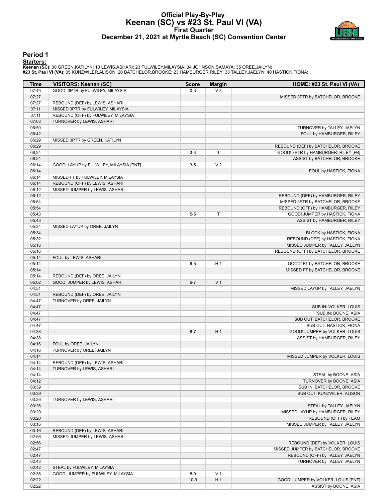#### **Official Play-By-Play Keenan (SC) vs #23 St. Paul VI (VA) First Quarter December 21, 2021 at Myrtle Beach (SC) Convention Center**



#### **Period 1**

**Starters:**

| Time           | <b>VISITORS: Keenan (SC)</b>            | <b>Score</b> | <b>Margin</b>  | HOME: #23 St. Paul VI (VA)                                            |
|----------------|-----------------------------------------|--------------|----------------|-----------------------------------------------------------------------|
| 07:45          | GOOD! 3PTR by FULWILEY, MILAYSIA        | $0 - 3$      | $V_3$          |                                                                       |
| 07:27          |                                         |              |                | MISSED 3PTR by BATCHELOR, BROOKE                                      |
| 07:27          | REBOUND (DEF) by LEWIS, ASHARI          |              |                |                                                                       |
| 07:11          | MISSED 3PTR by FULWILEY, MILAYSIA       |              |                |                                                                       |
| 07:11          | REBOUND (OFF) by FULWILEY, MILAYSIA     |              |                |                                                                       |
| 07:03          | TURNOVER by LEWIS, ASHARI               |              |                |                                                                       |
| 06:50          |                                         |              |                | TURNOVER by TALLEY, JAELYN                                            |
| 06:42          |                                         |              |                | FOUL by HAMBURGER, RILEY                                              |
| 06:29          | MISSED 3PTR by GREEN, KATILYN           |              |                |                                                                       |
| 06:29          |                                         |              |                | REBOUND (DEF) by BATCHELOR, BROOKE                                    |
| 06:24          |                                         | $3-3$        | T.             | GOOD! 3PTR by HAMBURGER, RILEY [FB]                                   |
| 06:24          |                                         |              |                | ASSIST by BATCHELOR, BROOKE                                           |
| 06:14          | GOOD! LAYUP by FULWILEY, MILAYSIA [PNT] | $3-5$        | V <sub>2</sub> |                                                                       |
| 06:14          |                                         |              |                | FOUL by HASTICK, FIONA                                                |
| 06:14          | MISSED FT by FULWILEY, MILAYSIA         |              |                |                                                                       |
| 06:14          | REBOUND (OFF) by LEWIS, ASHARI          |              |                |                                                                       |
| 06:12<br>06:12 | MISSED JUMPER by LEWIS, ASHARI          |              |                |                                                                       |
| 05:54          |                                         |              |                | REBOUND (DEF) by HAMBURGER, RILEY<br>MISSED 3PTR by BATCHELOR, BROOKE |
| 05:54          |                                         |              |                | REBOUND (OFF) by HAMBURGER, RILEY                                     |
| 05:43          |                                         | $5-5$        | T              | GOOD! JUMPER by HASTICK, FIONA                                        |
| 05:43          |                                         |              |                |                                                                       |
| 05:34          | MISSED LAYUP by OREE, JAILYN            |              |                | ASSIST by HAMBURGER, RILEY                                            |
| 05:34          |                                         |              |                | <b>BLOCK by HASTICK, FIONA</b>                                        |
| 05:32          |                                         |              |                | REBOUND (DEF) by HASTICK, FIONA                                       |
| 05:16          |                                         |              |                | MISSED JUMPER by TALLEY, JAELYN                                       |
| 05:16          |                                         |              |                | REBOUND (OFF) by BATCHELOR, BROOKE                                    |
| 05:14          | FOUL by LEWIS, ASHARI                   |              |                |                                                                       |
| 05:14          |                                         | $6-5$        | H <sub>1</sub> | GOOD! FT by BATCHELOR, BROOKE                                         |
| 05:14          |                                         |              |                | MISSED FT by BATCHELOR, BROOKE                                        |
| 05:14          | REBOUND (DEF) by OREE, JAILYN           |              |                |                                                                       |
| 05:02          | GOOD! JUMPER by LEWIS, ASHARI           | $6 - 7$      | V <sub>1</sub> |                                                                       |
| 04:51          |                                         |              |                | MISSED LAYUP by TALLEY, JAELYN                                        |
| 04:51          | REBOUND (DEF) by OREE, JAILYN           |              |                |                                                                       |
| 04:47          | TURNOVER by OREE, JAILYN                |              |                |                                                                       |
| 04:47          |                                         |              |                | SUB IN: VOLKER, LOUIS                                                 |
| 04:47          |                                         |              |                | SUB IN: BOONE, ASIA                                                   |
| 04:47          |                                         |              |                | SUB OUT: BATCHELOR, BROOKE                                            |
| 04:47          |                                         |              |                | SUB OUT: HASTICK, FIONA                                               |
| 04:38          |                                         | $8 - 7$      | H <sub>1</sub> | GOOD! JUMPER by VOLKER, LOUIS                                         |
| 04:38          |                                         |              |                | ASSIST by HAMBURGER, RILEY                                            |
| 04:16          | FOUL by OREE, JAILYN                    |              |                |                                                                       |
| 04:16          | TURNOVER by OREE, JAILYN                |              |                |                                                                       |
| 04:14          |                                         |              |                | MISSED JUMPER by VOLKER, LOUIS                                        |
| 04:14          | REBOUND (DEF) by LEWIS, ASHARI          |              |                |                                                                       |
| 04:14          | TURNOVER by LEWIS, ASHARI               |              |                |                                                                       |
| 04:14          |                                         |              |                | STEAL by BOONE, ASIA                                                  |
| 04:12          |                                         |              |                | TURNOVER by BOONE, ASIA                                               |
| 03:39          |                                         |              |                | SUB IN: BATCHELOR, BROOKE                                             |
| 03:39          |                                         |              |                | SUB OUT: KUNZWILER, ALISON                                            |
| 03:26          | TURNOVER by LEWIS, ASHARI               |              |                |                                                                       |
| 03:26          |                                         |              |                | STEAL by TALLEY, JAELYN                                               |
| 03:20          |                                         |              |                | MISSED LAYUP by HAMBURGER, RILEY                                      |
| 03:20          |                                         |              |                | REBOUND (OFF) by TEAM                                                 |
| 03:16          |                                         |              |                | MISSED JUMPER by TALLEY, JAELYN                                       |
| 03:16          | REBOUND (DEF) by LEWIS, ASHARI          |              |                |                                                                       |
| 02:56          | MISSED JUMPER by LEWIS, ASHARI          |              |                |                                                                       |
| 02:56          |                                         |              |                | REBOUND (DEF) by VOLKER, LOUIS                                        |
| 02:47          |                                         |              |                | MISSED JUMPER by BATCHELOR, BROOKE                                    |
| 02:47          |                                         |              |                | REBOUND (OFF) by TALLEY, JAELYN                                       |
| 02:43          |                                         |              |                | TURNOVER by TALLEY, JAELYN                                            |
| 02:42          | STEAL by FULWILEY, MILAYSIA             |              |                |                                                                       |
| 02:36          | GOOD! JUMPER by FULWILEY, MILAYSIA      | $8-9$        | V <sub>1</sub> |                                                                       |
| 02:22          |                                         | $10-9$       | H <sub>1</sub> | GOOD! JUMPER by VOLKER, LOUIS [PNT]                                   |
| 02:22          |                                         |              |                | ASSIST by BOONE, ASIA                                                 |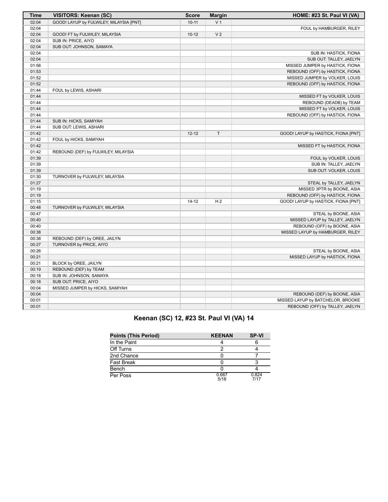| <b>Time</b> | <b>VISITORS: Keenan (SC)</b>            | <b>Score</b> | <b>Margin</b>  | HOME: #23 St. Paul VI (VA)          |
|-------------|-----------------------------------------|--------------|----------------|-------------------------------------|
| 02:04       | GOOD! LAYUP by FULWILEY, MILAYSIA [PNT] | $10 - 11$    | V <sub>1</sub> |                                     |
| 02:04       |                                         |              |                | FOUL by HAMBURGER, RILEY            |
| 02:04       | GOOD! FT by FULWILEY, MILAYSIA          | $10-12$      | V <sub>2</sub> |                                     |
| 02:04       | SUB IN: PRICE, AIYO                     |              |                |                                     |
| 02:04       | SUB OUT: JOHNSON, SAMAYA                |              |                |                                     |
| 02:04       |                                         |              |                | SUB IN: HASTICK, FIONA              |
| 02:04       |                                         |              |                | SUB OUT: TALLEY, JAELYN             |
| 01:56       |                                         |              |                | MISSED JUMPER by HASTICK, FIONA     |
| 01:53       |                                         |              |                | REBOUND (OFF) by HASTICK, FIONA     |
| 01:52       |                                         |              |                | MISSED JUMPER by VOLKER, LOUIS      |
| 01:52       |                                         |              |                | REBOUND (OFF) by HASTICK, FIONA     |
| 01:44       | FOUL by LEWIS, ASHARI                   |              |                |                                     |
| 01:44       |                                         |              |                | MISSED FT by VOLKER, LOUIS          |
| 01:44       |                                         |              |                | REBOUND (DEADB) by TEAM             |
| 01:44       |                                         |              |                | MISSED FT by VOLKER, LOUIS          |
| 01:44       |                                         |              |                | REBOUND (OFF) by HASTICK, FIONA     |
| 01:44       | SUB IN: HICKS, SAMIYAH                  |              |                |                                     |
| 01:44       | SUB OUT: LEWIS, ASHARI                  |              |                |                                     |
| 01:42       |                                         | $12 - 12$    | T.             | GOOD! LAYUP by HASTICK, FIONA [PNT] |
| 01:42       | FOUL by HICKS, SAMIYAH                  |              |                |                                     |
| 01:42       |                                         |              |                | MISSED FT by HASTICK, FIONA         |
| 01:42       | REBOUND (DEF) by FULWILEY, MILAYSIA     |              |                |                                     |
| 01:39       |                                         |              |                | FOUL by VOLKER, LOUIS               |
| 01:39       |                                         |              |                | SUB IN: TALLEY, JAELYN              |
| 01:39       |                                         |              |                | SUB OUT: VOLKER, LOUIS              |
| 01:30       | TURNOVER by FULWILEY, MILAYSIA          |              |                |                                     |
| 01:27       |                                         |              |                | STEAL by TALLEY, JAELYN             |
| 01:19       |                                         |              |                | MISSED 3PTR by BOONE, ASIA          |
| 01:19       |                                         |              |                | REBOUND (OFF) by HASTICK, FIONA     |
| 01:15       |                                         | $14 - 12$    | H <sub>2</sub> | GOOD! LAYUP by HASTICK, FIONA [PNT] |
| 00:48       | TURNOVER by FULWILEY, MILAYSIA          |              |                |                                     |
| 00:47       |                                         |              |                | STEAL by BOONE, ASIA                |
| 00:40       |                                         |              |                | MISSED LAYUP by TALLEY, JAELYN      |
| 00:40       |                                         |              |                | REBOUND (OFF) by BOONE, ASIA        |
| 00:38       |                                         |              |                | MISSED LAYUP by HAMBURGER, RILEY    |
| 00:38       | REBOUND (DEF) by OREE, JAILYN           |              |                |                                     |
| 00:27       | TURNOVER by PRICE, AIYO                 |              |                |                                     |
| 00:26       |                                         |              |                | STEAL by BOONE, ASIA                |
| 00:21       |                                         |              |                | MISSED LAYUP by HASTICK, FIONA      |
| 00:21       | BLOCK by OREE, JAILYN                   |              |                |                                     |
| 00:19       | REBOUND (DEF) by TEAM                   |              |                |                                     |
| 00:18       | SUB IN: JOHNSON, SAMAYA                 |              |                |                                     |
| 00:18       | SUB OUT: PRICE, AIYO                    |              |                |                                     |
| 00:04       | MISSED JUMPER by HICKS, SAMIYAH         |              |                |                                     |
| 00:04       |                                         |              |                | REBOUND (DEF) by BOONE, ASIA        |
| 00:01       |                                         |              |                | MISSED LAYUP by BATCHELOR, BROOKE   |
| 00:01       |                                         |              |                | REBOUND (OFF) by TALLEY, JAELYN     |

## **Keenan (SC) 12, #23 St. Paul VI (VA) 14**

| <b>Points (This Period)</b> | <b>KEENAN</b> | <b>SP-VI</b>  |
|-----------------------------|---------------|---------------|
| In the Paint                |               |               |
| Off Turns                   |               |               |
| 2nd Chance                  |               |               |
| <b>Fast Break</b>           |               |               |
| Bench                       |               |               |
| Per Poss                    | 0.667<br>5/18 | 0.824<br>7/17 |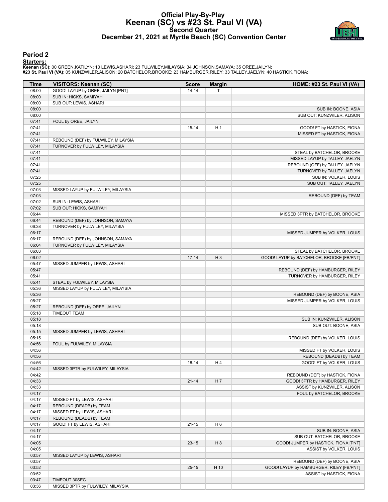#### **Official Play-By-Play Keenan (SC) vs #23 St. Paul VI (VA) Second Quarter December 21, 2021 at Myrtle Beach (SC) Convention Center**



#### **Period 2**

#### **Starters:**

| Time           | <b>VISITORS: Keenan (SC)</b>                          | <b>Score</b> | <b>Margin</b>  | HOME: #23 St. Paul VI (VA)                |
|----------------|-------------------------------------------------------|--------------|----------------|-------------------------------------------|
| 08:00          | GOOD! LAYUP by OREE, JAILYN [PNT]                     | $14 - 14$    | Τ              |                                           |
| 08:00          | SUB IN: HICKS, SAMIYAH                                |              |                |                                           |
| 08:00          | SUB OUT: LEWIS, ASHARI                                |              |                |                                           |
| 08:00          |                                                       |              |                | SUB IN: BOONE, ASIA                       |
| 08:00          |                                                       |              |                | SUB OUT: KUNZWILER, ALISON                |
| 07:41          | FOUL by OREE, JAILYN                                  |              |                |                                           |
| 07:41          |                                                       | $15 - 14$    | H1             | GOOD! FT by HASTICK, FIONA                |
| 07:41          |                                                       |              |                | MISSED FT by HASTICK, FIONA               |
| 07:41          | REBOUND (DEF) by FULWILEY, MILAYSIA                   |              |                |                                           |
| 07:41          | TURNOVER by FULWILEY, MILAYSIA                        |              |                |                                           |
| 07:41          |                                                       |              |                | STEAL by BATCHELOR, BROOKE                |
| 07:41          |                                                       |              |                | MISSED LAYUP by TALLEY, JAELYN            |
| 07:41          |                                                       |              |                | REBOUND (OFF) by TALLEY, JAELYN           |
| 07:41          |                                                       |              |                | TURNOVER by TALLEY, JAELYN                |
| 07:25<br>07:25 |                                                       |              |                | SUB IN: VOLKER, LOUIS                     |
| 07:03          |                                                       |              |                | SUB OUT: TALLEY, JAELYN                   |
| 07:03          | MISSED LAYUP by FULWILEY, MILAYSIA                    |              |                | REBOUND (DEF) by TEAM                     |
| 07:02          | SUB IN: LEWIS, ASHARI                                 |              |                |                                           |
| 07:02          | SUB OUT: HICKS, SAMIYAH                               |              |                |                                           |
| 06:44          |                                                       |              |                | MISSED 3PTR by BATCHELOR, BROOKE          |
| 06:44          | REBOUND (DEF) by JOHNSON, SAMAYA                      |              |                |                                           |
| 06:38          | TURNOVER by FULWILEY, MILAYSIA                        |              |                |                                           |
| 06:17          |                                                       |              |                | MISSED JUMPER by VOLKER, LOUIS            |
| 06:17          | REBOUND (DEF) by JOHNSON, SAMAYA                      |              |                |                                           |
| 06:04          | TURNOVER by FULWILEY, MILAYSIA                        |              |                |                                           |
| 06:03          |                                                       |              |                | STEAL by BATCHELOR, BROOKE                |
| 06:02          |                                                       | $17 - 14$    | $H_3$          | GOOD! LAYUP by BATCHELOR, BROOKE [FB/PNT] |
| 05:47          | MISSED JUMPER by LEWIS, ASHARI                        |              |                |                                           |
| 05:47          |                                                       |              |                | REBOUND (DEF) by HAMBURGER, RILEY         |
| 05:41          |                                                       |              |                | TURNOVER by HAMBURGER, RILEY              |
| 05:41          | STEAL by FULWILEY, MILAYSIA                           |              |                |                                           |
| 05:36          | MISSED LAYUP by FULWILEY, MILAYSIA                    |              |                |                                           |
| 05:36          |                                                       |              |                | REBOUND (DEF) by BOONE, ASIA              |
| 05:27          |                                                       |              |                | MISSED JUMPER by VOLKER, LOUIS            |
| 05:27          | REBOUND (DEF) by OREE, JAILYN                         |              |                |                                           |
| 05:18          | <b>TIMEOUT TEAM</b>                                   |              |                |                                           |
| 05:18          |                                                       |              |                | SUB IN: KUNZWILER, ALISON                 |
| 05:18          |                                                       |              |                | SUB OUT: BOONE, ASIA                      |
| 05:15          | MISSED JUMPER by LEWIS, ASHARI                        |              |                |                                           |
| 05:15          |                                                       |              |                | REBOUND (DEF) by VOLKER, LOUIS            |
| 04:56          | FOUL by FULWILEY, MILAYSIA                            |              |                |                                           |
| 04:56          |                                                       |              |                | MISSED FT by VOLKER, LOUIS                |
| 04:56          |                                                       |              |                | REBOUND (DEADB) by TEAM                   |
| 04:56          |                                                       | 18-14        | H 4            | GOOD! FT by VOLKER, LOUIS                 |
| 04:42          | MISSED 3PTR by FULWILEY, MILAYSIA                     |              |                |                                           |
| 04:42          |                                                       |              |                | REBOUND (DEF) by HASTICK, FIONA           |
| 04:33          |                                                       | $21 - 14$    | H7             | GOOD! 3PTR by HAMBURGER, RILEY            |
| 04:33          |                                                       |              |                | ASSIST by KUNZWILER, ALISON               |
| 04:17<br>04:17 |                                                       |              |                | FOUL by BATCHELOR, BROOKE                 |
| 04:17          | MISSED FT by LEWIS, ASHARI                            |              |                |                                           |
| 04:17          | REBOUND (DEADB) by TEAM<br>MISSED FT by LEWIS, ASHARI |              |                |                                           |
| 04:17          | REBOUND (DEADB) by TEAM                               |              |                |                                           |
| 04:17          | GOOD! FT by LEWIS, ASHARI                             | $21 - 15$    | H <sub>6</sub> |                                           |
| 04:17          |                                                       |              |                | SUB IN: BOONE, ASIA                       |
| 04:17          |                                                       |              |                | SUB OUT: BATCHELOR, BROOKE                |
| 04:05          |                                                       | $23 - 15$    | H <sub>8</sub> | GOOD! JUMPER by HASTICK, FIONA [PNT]      |
| 04:05          |                                                       |              |                | ASSIST by VOLKER, LOUIS                   |
| 03:57          | MISSED LAYUP by LEWIS, ASHARI                         |              |                |                                           |
| 03:57          |                                                       |              |                | REBOUND (DEF) by BOONE, ASIA              |
| 03:52          |                                                       | $25 - 15$    | H 10           | GOOD! LAYUP by HAMBURGER, RILEY [FB/PNT]  |
| 03:52          |                                                       |              |                | ASSIST by HASTICK, FIONA                  |
| 03:47          | TIMEOUT 30SEC                                         |              |                |                                           |
| 03:36          | MISSED 3PTR by FULWILEY, MILAYSIA                     |              |                |                                           |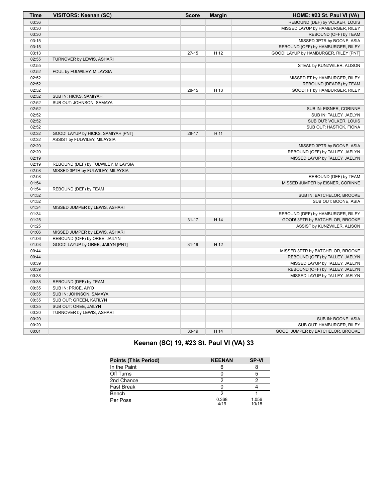| Time  | VISITORS: Keenan (SC)               | <b>Score</b> | <b>Margin</b> | HOME: #23 St. Paul VI (VA)            |
|-------|-------------------------------------|--------------|---------------|---------------------------------------|
| 03:36 |                                     |              |               | REBOUND (DEF) by VOLKER, LOUIS        |
| 03:30 |                                     |              |               | MISSED LAYUP by HAMBURGER, RILEY      |
| 03:30 |                                     |              |               | REBOUND (OFF) by TEAM                 |
| 03:15 |                                     |              |               | MISSED 3PTR by BOONE, ASIA            |
| 03:15 |                                     |              |               | REBOUND (OFF) by HAMBURGER, RILEY     |
| 03:13 |                                     | $27-15$      | H 12          | GOOD! LAYUP by HAMBURGER, RILEY [PNT] |
| 02:55 | TURNOVER by LEWIS, ASHARI           |              |               |                                       |
| 02:55 |                                     |              |               | STEAL by KUNZWILER, ALISON            |
| 02:52 | FOUL by FULWILEY, MILAYSIA          |              |               |                                       |
| 02:52 |                                     |              |               | MISSED FT by HAMBURGER, RILEY         |
| 02:52 |                                     |              |               | REBOUND (DEADB) by TEAM               |
| 02:52 |                                     | $28 - 15$    | H 13          | GOOD! FT by HAMBURGER, RILEY          |
| 02:52 | SUB IN: HICKS, SAMIYAH              |              |               |                                       |
| 02:52 | SUB OUT: JOHNSON, SAMAYA            |              |               |                                       |
| 02:52 |                                     |              |               | SUB IN: EISNER, CORINNE               |
| 02:52 |                                     |              |               | SUB IN: TALLEY, JAELYN                |
| 02:52 |                                     |              |               | SUB OUT: VOLKER, LOUIS                |
| 02:52 |                                     |              |               | SUB OUT: HASTICK, FIONA               |
| 02:32 | GOOD! LAYUP by HICKS, SAMIYAH [PNT] | $28-17$      | H 11          |                                       |
| 02:32 | ASSIST by FULWILEY, MILAYSIA        |              |               |                                       |
| 02:20 |                                     |              |               | MISSED 3PTR by BOONE, ASIA            |
| 02:20 |                                     |              |               | REBOUND (OFF) by TALLEY, JAELYN       |
| 02:19 |                                     |              |               | MISSED LAYUP by TALLEY, JAELYN        |
| 02:19 | REBOUND (DEF) by FULWILEY, MILAYSIA |              |               |                                       |
| 02:08 | MISSED 3PTR by FULWILEY, MILAYSIA   |              |               |                                       |
| 02:08 |                                     |              |               | REBOUND (DEF) by TEAM                 |
| 01:54 |                                     |              |               | MISSED JUMPER by EISNER, CORINNE      |
| 01:54 | REBOUND (DEF) by TEAM               |              |               |                                       |
| 01:52 |                                     |              |               | SUB IN: BATCHELOR, BROOKE             |
| 01:52 |                                     |              |               | SUB OUT: BOONE, ASIA                  |
| 01:34 | MISSED JUMPER by LEWIS, ASHARI      |              |               |                                       |
| 01:34 |                                     |              |               | REBOUND (DEF) by HAMBURGER, RILEY     |
| 01:25 |                                     | $31 - 17$    | H 14          | GOOD! 3PTR by BATCHELOR, BROOKE       |
| 01:25 |                                     |              |               | ASSIST by KUNZWILER, ALISON           |
| 01:06 | MISSED JUMPER by LEWIS, ASHARI      |              |               |                                       |
| 01:06 | REBOUND (OFF) by OREE, JAILYN       |              |               |                                       |
| 01:03 | GOOD! LAYUP by OREE, JAILYN [PNT]   | $31 - 19$    | H 12          |                                       |
| 00:44 |                                     |              |               | MISSED 3PTR by BATCHELOR, BROOKE      |
| 00:44 |                                     |              |               | REBOUND (OFF) by TALLEY, JAELYN       |
| 00:39 |                                     |              |               | MISSED LAYUP by TALLEY, JAELYN        |
| 00:39 |                                     |              |               | REBOUND (OFF) by TALLEY, JAELYN       |
| 00:38 |                                     |              |               | MISSED LAYUP by TALLEY, JAELYN        |
| 00:38 | REBOUND (DEF) by TEAM               |              |               |                                       |
| 00:35 | SUB IN: PRICE, AIYO                 |              |               |                                       |
| 00:35 | SUB IN: JOHNSON, SAMAYA             |              |               |                                       |
| 00:35 | SUB OUT: GREEN, KATILYN             |              |               |                                       |
| 00:35 | SUB OUT: OREE, JAILYN               |              |               |                                       |
| 00:20 | TURNOVER by LEWIS, ASHARI           |              |               |                                       |
| 00:20 |                                     |              |               | SUB IN: BOONE, ASIA                   |
| 00:20 |                                     |              |               | SUB OUT: HAMBURGER, RILEY             |
| 00:01 |                                     | 33-19        | H 14          | GOOD! JUMPER by BATCHELOR, BROOKE     |

## **Keenan (SC) 19, #23 St. Paul VI (VA) 33**

| <b>Points (This Period)</b> | <b>KEENAN</b> | <b>SP-VI</b>   |
|-----------------------------|---------------|----------------|
| In the Paint                |               |                |
| Off Turns                   |               |                |
| 2nd Chance                  | ◠             |                |
| <b>Fast Break</b>           |               |                |
| Bench                       | ◠             |                |
| Per Poss                    | 0.368<br>4/19 | 1.056<br>10/18 |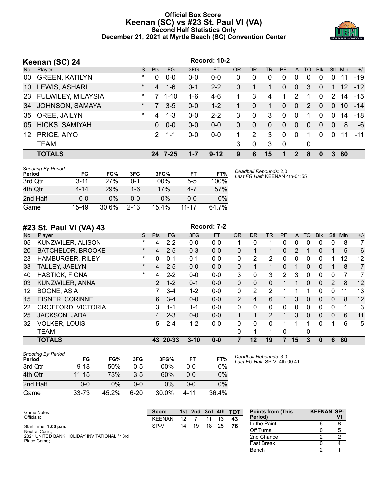#### **Official Box Score Keenan (SC) vs #23 St. Paul VI (VA) Second Half Statistics Only December 21, 2021 at Myrtle Beach (SC) Convention Center**



|     | Keenan (SC) 24        |          |               |          |         | <b>Record: 10-2</b> |    |             |           |           |                |          |            |               |     |       |
|-----|-----------------------|----------|---------------|----------|---------|---------------------|----|-------------|-----------|-----------|----------------|----------|------------|---------------|-----|-------|
| No. | Player                | S.       | <b>Pts</b>    | FG.      | 3FG     | <b>FT</b>           | OR | <b>DR</b>   | <b>TR</b> | <b>PF</b> | A              | TO       | <b>Blk</b> | <b>Stl</b>    | Min | $+/-$ |
| 00  | <b>GREEN, KATILYN</b> | *        | 0             | $0 - 0$  | $0 - 0$ | $0-0$               | 0  | 0           | 0         | 0         | 0              | $\Omega$ | $\Omega$   | 0             | 11  | $-19$ |
| 10  | LEWIS, ASHARI         | $^\star$ | 4             | $1 - 6$  | $0 - 1$ | $2 - 2$             | 0  |             |           | $\Omega$  | $\overline{0}$ | 3        | $\Omega$   | $\mathbf{1}$  | 12  | $-12$ |
| 23  | FULWILEY, MILAYSIA    | $\ast$   |               | $1 - 10$ | $1 - 6$ | $4-6$               | 1  | 3           | 4         | 1         | 2              |          | $\Omega$   | $\mathcal{P}$ | 14  | $-15$ |
| 34  | JOHNSON, SAMAYA       | $\star$  | 7             | $3 - 5$  | $0 - 0$ | $1 - 2$             |    | $\Omega$    | 1         | $\Omega$  | $\Omega$       | 2        | $\Omega$   | $\Omega$      | 10  | $-14$ |
| 35  | OREE, JAILYN          | $\star$  | 4             | $1 - 3$  | $0 - 0$ | $2 - 2$             | 3  | 0           | 3         | 0         | $\Omega$       |          | 0          | $\Omega$      | 14  | -18   |
| 05  | HICKS, SAMIYAH        |          | $\Omega$      | $0 - 0$  | $0 - 0$ | $0-0$               | 0  | $\Omega$    | $\Omega$  | $\Omega$  | $\Omega$       | $\Omega$ | $\Omega$   | $\Omega$      | 8   | $-6$  |
| 12  | PRICE, AIYO           |          | $\mathcal{P}$ | $1 - 1$  | $0-0$   | $0-0$               |    | 2           | 3         | 0         | $\mathbf{0}$   |          | $\Omega$   | $\Omega$      | 11  | $-11$ |
|     | <b>TEAM</b>           |          |               |          |         |                     | 3  | $\mathbf 0$ | 3         | -0        |                | 0        |            |               |     |       |
|     | <b>TOTALS</b>         |          | 24            | 7-25     | $1 - 7$ | $9 - 12$            | 9  | 6           | 15        | 1         | 2              | 8        | 0          |               | 80  |       |

| <b>Shooting By Period</b><br>Period | FG       | FG%   | 3FG      | 3FG%  | FT                 | FT%   | Deadball Rebounds: 2,0<br>Last FG Half: KEENAN 4th-01:55 |
|-------------------------------------|----------|-------|----------|-------|--------------------|-------|----------------------------------------------------------|
| 3rd Qtr                             | $3 - 11$ | 27%   | 0-1      | 00%   | $5 - 5$            | 100%  |                                                          |
| 4th Qtr                             | $4 - 14$ | 29%   | 1-6      | 17%   | $4 - 7$            | 57%   |                                                          |
| 2nd Half                            | 0-0      | 0%    | $0 - 0$  | 0%    | ი-ი                | $0\%$ |                                                          |
| Game                                | 15-49    | 30.6% | $2 - 13$ | 15.4% | 11 <sub>-</sub> 17 | 64 7% |                                                          |

|     | #23 St. Paul VI (VA) 43   |          |                |         |          | Record: 7-2 |               |              |                |               |    |           |              |                       |     |                |
|-----|---------------------------|----------|----------------|---------|----------|-------------|---------------|--------------|----------------|---------------|----|-----------|--------------|-----------------------|-----|----------------|
| No. | Player                    | S        | <b>Pts</b>     | FG      | 3FG      | <b>FT</b>   | <b>OR</b>     | <b>DR</b>    | <b>TR</b>      | PF            | A  | <b>TO</b> | <b>Blk</b>   | <b>Stl</b>            | Min | $+/-$          |
| 05  | KUNZWILER, ALISON         | $\star$  | 4              | $2 - 2$ | $0 - 0$  | $0 - 0$     |               | 0            |                | 0             | 0  | 0         | 0            | 0                     | 8   | $\overline{7}$ |
| 20  | <b>BATCHELOR, BROOKE</b>  | $\ast$   | 4              | $2 - 5$ | $0 - 3$  | $0 - 0$     | 0             | 1            |                | $\Omega$      | 2  |           | $\Omega$     |                       | 5   | 6              |
| 23  | <b>HAMBURGER, RILEY</b>   | *        | $\Omega$       | $0 - 1$ | $0 - 1$  | $0-0$       | 0             | 2            | 2              | 0             | 0  | 0         | 0            |                       | 12  | 12             |
| 33  | TALLEY, JAELYN            | $^\star$ | 4              | $2 - 5$ | $0 - 0$  | $0 - 0$     | 0             | 1            | 1              | 0             |    | $\Omega$  | $\Omega$     |                       | 8   | $\overline{7}$ |
| 40  | <b>HASTICK, FIONA</b>     | *        | 4              | $2 - 2$ | $0 - 0$  | $0-0$       | 3             | 0            | 3              | $\mathcal{P}$ | 3  | $\Omega$  | $\Omega$     | 0                     | 7   | 7              |
| 03  | KUNZWILER, ANNA           |          | $\overline{2}$ | $1 - 2$ | $0 - 1$  | $0 - 0$     | 0             | $\mathbf{0}$ | $\Omega$       |               |    | $\Omega$  | $\Omega$     | $\mathbf{2}^{\prime}$ | 8   | 12             |
| 12  | <b>BOONE, ASIA</b>        |          | 7              | $3-4$   | $1 - 2$  | $0-0$       | 0             | 2            | 2              |               |    | 1         | $\Omega$     | 0                     | 11  | 13             |
| 15  | <b>EISNER, CORINNE</b>    |          | 6              | $3 - 4$ | $0 - 0$  | $0 - 0$     | $\mathcal{P}$ | 4            | 6              |               | 3  | $\Omega$  | $\Omega$     | 0                     | 8   | 12             |
| 22  | <b>CROFFORD, VICTORIA</b> |          | 3              | $1 - 1$ | $1 - 1$  | $0-0$       | 0             | $\Omega$     | $\Omega$       | $\Omega$      | 0  | 0         | $\Omega$     | 0                     | 1   | 3              |
| 25  | JACKSON, JADA             |          | 4              | $2 - 3$ | $0 - 0$  | $0 - 0$     |               | 1            | $\overline{2}$ | 1             | 3  | $\Omega$  | $\Omega$     | $\Omega$              | 6   | 11             |
| 32  | <b>VOLKER, LOUIS</b>      |          | 5.             | $2 - 4$ | $1 - 2$  | $0 - 0$     | 0             | $\Omega$     | $\Omega$       | 1             | 1  | 1         | <sup>0</sup> | 1                     | 6   | 5              |
|     | <b>TEAM</b>               |          |                |         |          |             | 0             | 1            | 1              | $\Omega$      |    | 0         |              |                       |     |                |
|     | <b>TOTALS</b>             |          | 43             | 20-33   | $3 - 10$ | $0 - 0$     |               | 12           | 19             | 7             | 15 | 3         | 0            | 6                     | 80  |                |

| <b>Shooting By Period</b><br>Period | FG        | FG%   | 3FG     | 3FG%   | FT   | FT%   |
|-------------------------------------|-----------|-------|---------|--------|------|-------|
| 3rd Qtr                             | $9 - 18$  | 50%   | $0 - 5$ | $00\%$ | ი-ი  | 0%    |
| 4th Qtr                             | $11 - 15$ | 73%   | $3-5$   | 60%    | 0-0  | 0%    |
| 2nd Half                            | 0-0       | $0\%$ | $0 - 0$ | 0%     | ი-ი  | $0\%$ |
| Game                                | $33 - 73$ | 45.2% | 6-20    | 30.0%  | 4-11 | 36.4% |

*Deadball Rebounds:* 3,0 *Last FG Half:* SP-VI 4th-00:41

**Bench** 

| Game Notes:                                  | <b>Score</b>  |    |    |    |    | 1st 2nd 3rd 4th TOT | <b>Points from (This)</b> | <b>KEENAN SP-</b> |  |
|----------------------------------------------|---------------|----|----|----|----|---------------------|---------------------------|-------------------|--|
| Officials:                                   | <b>KFFNAN</b> | 12 |    |    |    | 43                  | Period)                   |                   |  |
| Start Time: 1:00 p.m.                        | SP-VI         | 14 | 19 | 18 | 25 | 76                  | In the Paint              |                   |  |
| Neutral Court:                               |               |    |    |    |    |                     | Off Turns                 |                   |  |
| 2021 UNITED BANK HOLIDAY INVITATIONAL ** 3rd |               |    |    |    |    |                     | 2nd Chance                |                   |  |
| Place Game:                                  |               |    |    |    |    |                     | <b>Fast Break</b>         |                   |  |
|                                              |               |    |    |    |    |                     | Bench                     |                   |  |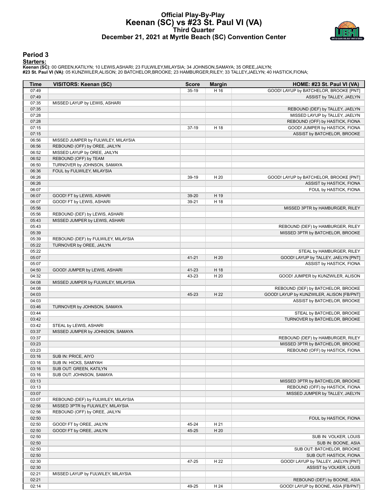#### **Official Play-By-Play Keenan (SC) vs #23 St. Paul VI (VA) Third Quarter December 21, 2021 at Myrtle Beach (SC) Convention Center**



#### **Period 3**

#### **Starters:**

| Time           | <b>VISITORS: Keenan (SC)</b>                                         | <b>Score</b> | <b>Margin</b> | HOME: #23 St. Paul VI (VA)                |
|----------------|----------------------------------------------------------------------|--------------|---------------|-------------------------------------------|
| 07:49          |                                                                      | $35-19$      | H 16          | GOOD! LAYUP by BATCHELOR, BROOKE [PNT]    |
| 07:49          |                                                                      |              |               | ASSIST by TALLEY, JAELYN                  |
| 07:35          | MISSED LAYUP by LEWIS, ASHARI                                        |              |               |                                           |
| 07:35          |                                                                      |              |               | REBOUND (DEF) by TALLEY, JAELYN           |
| 07:28          |                                                                      |              |               | MISSED LAYUP by TALLEY, JAELYN            |
| 07:28          |                                                                      |              |               | REBOUND (OFF) by HASTICK, FIONA           |
| 07:15          |                                                                      | $37-19$      | H 18          | GOOD! JUMPER by HASTICK, FIONA            |
| 07:15          |                                                                      |              |               | ASSIST by BATCHELOR, BROOKE               |
| 06:56<br>06:56 | MISSED JUMPER by FULWILEY, MILAYSIA<br>REBOUND (OFF) by OREE, JAILYN |              |               |                                           |
| 06:52          | MISSED LAYUP by OREE, JAILYN                                         |              |               |                                           |
| 06:52          | REBOUND (OFF) by TEAM                                                |              |               |                                           |
| 06:50          | TURNOVER by JOHNSON, SAMAYA                                          |              |               |                                           |
| 06:36          | FOUL by FULWILEY, MILAYSIA                                           |              |               |                                           |
| 06:26          |                                                                      | 39-19        | H 20          | GOOD! LAYUP by BATCHELOR, BROOKE [PNT]    |
| 06:26          |                                                                      |              |               | ASSIST by HASTICK, FIONA                  |
| 06:07          |                                                                      |              |               | FOUL by HASTICK, FIONA                    |
| 06:07          | GOOD! FT by LEWIS, ASHARI                                            | 39-20        | H 19          |                                           |
| 06:07          | GOOD! FT by LEWIS, ASHARI                                            | 39-21        | H 18          |                                           |
| 05:56          |                                                                      |              |               | MISSED 3PTR by HAMBURGER, RILEY           |
| 05:56          | REBOUND (DEF) by LEWIS, ASHARI                                       |              |               |                                           |
| 05:43          | MISSED JUMPER by LEWIS, ASHARI                                       |              |               |                                           |
| 05:43          |                                                                      |              |               | REBOUND (DEF) by HAMBURGER, RILEY         |
| 05:39          |                                                                      |              |               | MISSED 3PTR by BATCHELOR, BROOKE          |
| 05:39          | REBOUND (DEF) by FULWILEY, MILAYSIA                                  |              |               |                                           |
| 05:22          | TURNOVER by OREE, JAILYN                                             |              |               |                                           |
| 05:22          |                                                                      |              |               | STEAL by HAMBURGER, RILEY                 |
| 05:07          |                                                                      | $41 - 21$    | H 20          | GOOD! LAYUP by TALLEY, JAELYN [PNT]       |
| 05:07          |                                                                      |              |               | ASSIST by HASTICK, FIONA                  |
| 04:50          | GOOD! JUMPER by LEWIS, ASHARI                                        | 41-23        | H 18          |                                           |
| 04:32          |                                                                      | 43-23        | H 20          | GOOD! JUMPER by KUNZWILER, ALISON         |
| 04:08          | MISSED JUMPER by FULWILEY, MILAYSIA                                  |              |               |                                           |
| 04:08          |                                                                      |              |               | REBOUND (DEF) by BATCHELOR, BROOKE        |
| 04:03          |                                                                      | 45-23        | H 22          | GOOD! LAYUP by KUNZWILER, ALISON [FB/PNT] |
| 04:03          |                                                                      |              |               | ASSIST by BATCHELOR, BROOKE               |
| 03:46          | TURNOVER by JOHNSON, SAMAYA                                          |              |               |                                           |
| 03:44          |                                                                      |              |               | STEAL by BATCHELOR, BROOKE                |
| 03:42          |                                                                      |              |               | TURNOVER by BATCHELOR, BROOKE             |
| 03:42          | STEAL by LEWIS, ASHARI                                               |              |               |                                           |
| 03:37          | MISSED JUMPER by JOHNSON, SAMAYA                                     |              |               |                                           |
| 03:37          |                                                                      |              |               | REBOUND (DEF) by HAMBURGER, RILEY         |
| 03:23          |                                                                      |              |               | MISSED 3PTR by BATCHELOR, BROOKE          |
| 03:23          |                                                                      |              |               | REBOUND (OFF) by HASTICK, FIONA           |
| 03:16<br>03:16 | SUB IN: PRICE, AIYO                                                  |              |               |                                           |
| 03:16          | SUB IN: HICKS, SAMIYAH                                               |              |               |                                           |
| 03:16          | SUB OUT: GREEN, KATILYN<br>SUB OUT: JOHNSON, SAMAYA                  |              |               |                                           |
| 03:13          |                                                                      |              |               | MISSED 3PTR by BATCHELOR, BROOKE          |
| 03:13          |                                                                      |              |               | REBOUND (OFF) by HASTICK, FIONA           |
| 03:07          |                                                                      |              |               | MISSED JUMPER by TALLEY, JAELYN           |
| 03:07          | REBOUND (DEF) by FULWILEY, MILAYSIA                                  |              |               |                                           |
| 02:56          | MISSED 3PTR by FULWILEY, MILAYSIA                                    |              |               |                                           |
| 02:56          | REBOUND (OFF) by OREE, JAILYN                                        |              |               |                                           |
| 02:50          |                                                                      |              |               | FOUL by HASTICK, FIONA                    |
| 02:50          | GOOD! FT by OREE, JAILYN                                             | 45-24        | H 21          |                                           |
| 02:50          | GOOD! FT by OREE, JAILYN                                             | 45-25        | H 20          |                                           |
| 02:50          |                                                                      |              |               | SUB IN: VOLKER, LOUIS                     |
| 02:50          |                                                                      |              |               | SUB IN: BOONE, ASIA                       |
| 02:50          |                                                                      |              |               | SUB OUT: BATCHELOR, BROOKE                |
| 02:50          |                                                                      |              |               | SUB OUT: HASTICK, FIONA                   |
| 02:30          |                                                                      | 47-25        | H 22          | GOOD! LAYUP by TALLEY, JAELYN [PNT]       |
| 02:30          |                                                                      |              |               | ASSIST by VOLKER, LOUIS                   |
| 02:21          | MISSED LAYUP by FULWILEY, MILAYSIA                                   |              |               |                                           |
| 02:21          |                                                                      |              |               | REBOUND (DEF) by BOONE, ASIA              |
| 02:14          |                                                                      | 49-25        | H 24          | GOOD! LAYUP by BOONE, ASIA [FB/PNT]       |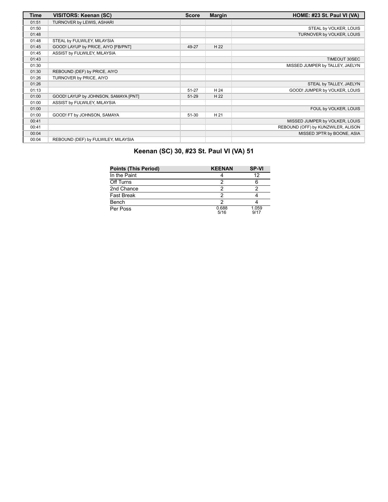| Time  | VISITORS: Keenan (SC)                | <b>Score</b> | <b>Margin</b> | HOME: #23 St. Paul VI (VA)         |
|-------|--------------------------------------|--------------|---------------|------------------------------------|
| 01:51 | TURNOVER by LEWIS, ASHARI            |              |               |                                    |
| 01:50 |                                      |              |               | STEAL by VOLKER, LOUIS             |
| 01:48 |                                      |              |               | TURNOVER by VOLKER, LOUIS          |
| 01:48 | STEAL by FULWILEY, MILAYSIA          |              |               |                                    |
| 01:45 | GOOD! LAYUP by PRICE, AIYO [FB/PNT]  | 49-27        | H 22          |                                    |
| 01:45 | ASSIST by FULWILEY, MILAYSIA         |              |               |                                    |
| 01:43 |                                      |              |               | <b>TIMEOUT 30SEC</b>               |
| 01:30 |                                      |              |               | MISSED JUMPER by TALLEY, JAELYN    |
| 01:30 | REBOUND (DEF) by PRICE, AIYO         |              |               |                                    |
| 01:26 | TURNOVER by PRICE, AIYO              |              |               |                                    |
| 01:26 |                                      |              |               | STEAL by TALLEY, JAELYN            |
| 01:13 |                                      | 51-27        | H 24          | GOOD! JUMPER by VOLKER, LOUIS      |
| 01:00 | GOOD! LAYUP by JOHNSON, SAMAYA [PNT] | 51-29        | H 22          |                                    |
| 01:00 | ASSIST by FULWILEY, MILAYSIA         |              |               |                                    |
| 01:00 |                                      |              |               | FOUL by VOLKER, LOUIS              |
| 01:00 | GOOD! FT by JOHNSON, SAMAYA          | $51 - 30$    | H 21          |                                    |
| 00:41 |                                      |              |               | MISSED JUMPER by VOLKER, LOUIS     |
| 00:41 |                                      |              |               | REBOUND (OFF) by KUNZWILER, ALISON |
| 00:04 |                                      |              |               | MISSED 3PTR by BOONE, ASIA         |
| 00:04 | REBOUND (DEF) by FULWILEY, MILAYSIA  |              |               |                                    |

# **Keenan (SC) 30, #23 St. Paul VI (VA) 51**

| <b>Points (This Period)</b> | <b>KEENAN</b> | <b>SP-VI</b>  |
|-----------------------------|---------------|---------------|
| In the Paint                |               | 12            |
| Off Turns                   |               |               |
| 2nd Chance                  |               |               |
| <b>Fast Break</b>           |               |               |
| Bench                       |               |               |
| Per Poss                    | 0.688<br>5/16 | 1.059<br>9/17 |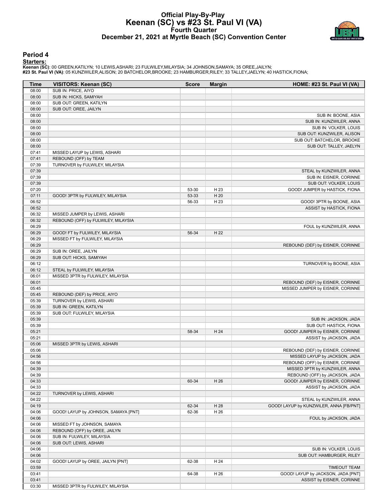#### **Official Play-By-Play Keenan (SC) vs #23 St. Paul VI (VA) Fourth Quarter December 21, 2021 at Myrtle Beach (SC) Convention Center**



#### **Period 4**

#### **Starters:**

| Time           | <b>VISITORS: Keenan (SC)</b>         | <b>Score</b> | <b>Margin</b> | HOME: #23 St. Paul VI (VA)              |
|----------------|--------------------------------------|--------------|---------------|-----------------------------------------|
| 08:00          | SUB IN: PRICE, AIYO                  |              |               |                                         |
| 08:00          | SUB IN: HICKS, SAMIYAH               |              |               |                                         |
| 08:00          | SUB OUT: GREEN, KATILYN              |              |               |                                         |
| 08:00          | SUB OUT: OREE, JAILYN                |              |               |                                         |
| 08:00          |                                      |              |               | SUB IN: BOONE, ASIA                     |
| 08:00          |                                      |              |               | SUB IN: KUNZWILER, ANNA                 |
| 08:00          |                                      |              |               | SUB IN: VOLKER, LOUIS                   |
| 08:00          |                                      |              |               | SUB OUT: KUNZWILER, ALISON              |
| 08:00          |                                      |              |               | SUB OUT: BATCHELOR, BROOKE              |
| 08:00          |                                      |              |               | SUB OUT: TALLEY, JAELYN                 |
| 07:41          | MISSED LAYUP by LEWIS, ASHARI        |              |               |                                         |
| 07:41          | REBOUND (OFF) by TEAM                |              |               |                                         |
| 07:39          | TURNOVER by FULWILEY, MILAYSIA       |              |               |                                         |
| 07:39          |                                      |              |               | STEAL by KUNZWILER, ANNA                |
| 07:39          |                                      |              |               | SUB IN: EISNER, CORINNE                 |
| 07:39          |                                      |              |               | SUB OUT: VOLKER, LOUIS                  |
| 07:20          |                                      | 53-30        | H 23          | GOOD! JUMPER by HASTICK, FIONA          |
| 07:11          | GOOD! 3PTR by FULWILEY, MILAYSIA     | 53-33        | H 20          |                                         |
| 06:52          |                                      | 56-33        | H 23          | GOOD! 3PTR by BOONE, ASIA               |
| 06:52          |                                      |              |               | ASSIST by HASTICK, FIONA                |
| 06:32          | MISSED JUMPER by LEWIS, ASHARI       |              |               |                                         |
| 06:32          | REBOUND (OFF) by FULWILEY, MILAYSIA  |              |               |                                         |
| 06:29          |                                      |              |               | FOUL by KUNZWILER, ANNA                 |
| 06:29          | GOOD! FT by FULWILEY, MILAYSIA       | 56-34        | H 22          |                                         |
| 06:29          | MISSED FT by FULWILEY, MILAYSIA      |              |               |                                         |
| 06:29          |                                      |              |               | REBOUND (DEF) by EISNER, CORINNE        |
| 06:29          | SUB IN: OREE, JAILYN                 |              |               |                                         |
| 06:29          | SUB OUT: HICKS, SAMIYAH              |              |               |                                         |
| 06:12          |                                      |              |               | TURNOVER by BOONE, ASIA                 |
| 06:12          | STEAL by FULWILEY, MILAYSIA          |              |               |                                         |
|                |                                      |              |               |                                         |
| 06:01<br>06:01 | MISSED 3PTR by FULWILEY, MILAYSIA    |              |               |                                         |
|                |                                      |              |               | REBOUND (DEF) by EISNER, CORINNE        |
| 05:45          |                                      |              |               | MISSED JUMPER by EISNER, CORINNE        |
| 05:45          | REBOUND (DEF) by PRICE, AIYO         |              |               |                                         |
| 05:39          | TURNOVER by LEWIS, ASHARI            |              |               |                                         |
| 05:39          | SUB IN: GREEN, KATILYN               |              |               |                                         |
| 05:39          | SUB OUT: FULWILEY, MILAYSIA          |              |               |                                         |
| 05:39          |                                      |              |               | SUB IN: JACKSON, JADA                   |
| 05:39          |                                      |              |               | SUB OUT: HASTICK, FIONA                 |
| 05:21          |                                      | 58-34        | H 24          | GOOD! JUMPER by EISNER, CORINNE         |
| 05:21          |                                      |              |               | ASSIST by JACKSON, JADA                 |
| 05:06          | MISSED 3PTR by LEWIS, ASHARI         |              |               |                                         |
| 05:06          |                                      |              |               | REBOUND (DEF) by EISNER, CORINNE        |
| 04:56          |                                      |              |               | MISSED LAYUP by JACKSON, JADA           |
| 04:56          |                                      |              |               | REBOUND (OFF) by EISNER, CORINNE        |
| 04:39          |                                      |              |               | MISSED 3PTR by KUNZWILER, ANNA          |
| 04:39          |                                      |              |               | REBOUND (OFF) by JACKSON, JADA          |
| 04:33          |                                      | 60-34        | H 26          | GOOD! JUMPER by EISNER, CORINNE         |
| 04:33          |                                      |              |               | ASSIST by JACKSON, JADA                 |
| 04:22          | TURNOVER by LEWIS, ASHARI            |              |               |                                         |
| 04:22          |                                      |              |               | STEAL by KUNZWILER, ANNA                |
| 04:19          |                                      | 62-34        | H 28          | GOOD! LAYUP by KUNZWILER, ANNA [FB/PNT] |
| 04:06          | GOOD! LAYUP by JOHNSON, SAMAYA [PNT] | 62-36        | H 26          |                                         |
| 04:06          |                                      |              |               | FOUL by JACKSON, JADA                   |
| 04:06          | MISSED FT by JOHNSON, SAMAYA         |              |               |                                         |
| 04:06          | REBOUND (OFF) by OREE, JAILYN        |              |               |                                         |
| 04:06          | SUB IN: FULWILEY, MILAYSIA           |              |               |                                         |
| 04:06          | SUB OUT: LEWIS, ASHARI               |              |               |                                         |
| 04:06          |                                      |              |               | SUB IN: VOLKER, LOUIS                   |
| 04:06          |                                      |              |               | SUB OUT: HAMBURGER, RILEY               |
| 04:02          | GOOD! LAYUP by OREE, JAILYN [PNT]    | 62-38        | H 24          |                                         |
| 03:59          |                                      |              |               | <b>TIMEOUT TEAM</b>                     |
| 03:41          |                                      | 64-38        | H 26          | GOOD! LAYUP by JACKSON, JADA [PNT]      |
| 03:41          |                                      |              |               | ASSIST by EISNER, CORINNE               |
| 03:30          | MISSED 3PTR by FULWILEY, MILAYSIA    |              |               |                                         |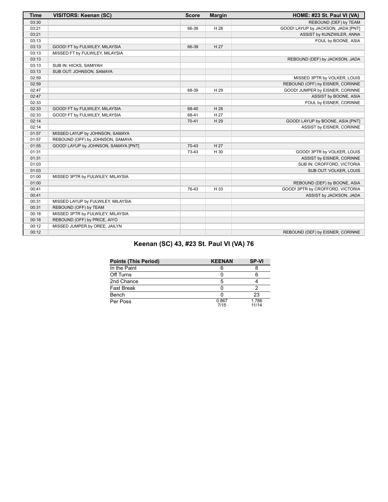| <b>Time</b> | <b>VISITORS: Keenan (SC)</b>         | <b>Score</b> | <b>Margin</b> | HOME: #23 St. Paul VI (VA)         |
|-------------|--------------------------------------|--------------|---------------|------------------------------------|
| 03:30       |                                      |              |               | REBOUND (DEF) by TEAM              |
| 03:21       |                                      | 66-38        | H 28          | GOOD! LAYUP by JACKSON, JADA [PNT] |
| 03:21       |                                      |              |               | ASSIST by KUNZWILER, ANNA          |
| 03:13       |                                      |              |               | FOUL by BOONE, ASIA                |
| 03:13       | GOOD! FT by FULWILEY, MILAYSIA       | 66-39        | H 27          |                                    |
| 03:13       | MISSED FT by FULWILEY, MILAYSIA      |              |               |                                    |
| 03:13       |                                      |              |               | REBOUND (DEF) by JACKSON, JADA     |
| 03:13       | SUB IN: HICKS, SAMIYAH               |              |               |                                    |
| 03:13       | SUB OUT: JOHNSON, SAMAYA             |              |               |                                    |
| 02:59       |                                      |              |               | MISSED 3PTR by VOLKER, LOUIS       |
| 02:59       |                                      |              |               | REBOUND (OFF) by EISNER, CORINNE   |
| 02:47       |                                      | 68-39        | H 29          | GOOD! JUMPER by EISNER, CORINNE    |
| 02:47       |                                      |              |               | ASSIST by BOONE, ASIA              |
| 02:33       |                                      |              |               | FOUL by EISNER, CORINNE            |
| 02:33       | GOOD! FT by FULWILEY, MILAYSIA       | 68-40        | H 28          |                                    |
| 02:33       | GOOD! FT by FULWILEY, MILAYSIA       | 68-41        | H 27          |                                    |
| 02:14       |                                      | $70 - 41$    | H 29          | GOOD! LAYUP by BOONE, ASIA [PNT]   |
| 02:14       |                                      |              |               | ASSIST by EISNER, CORINNE          |
| 01:57       | MISSED LAYUP by JOHNSON, SAMAYA      |              |               |                                    |
| 01:57       | REBOUND (OFF) by JOHNSON, SAMAYA     |              |               |                                    |
| 01:55       | GOOD! LAYUP by JOHNSON, SAMAYA [PNT] | 70-43        | H 27          |                                    |
| 01:31       |                                      | 73-43        | H 30          | GOOD! 3PTR by VOLKER, LOUIS        |
| 01:31       |                                      |              |               | ASSIST by EISNER, CORINNE          |
| 01:03       |                                      |              |               | SUB IN: CROFFORD, VICTORIA         |
| 01:03       |                                      |              |               | SUB OUT: VOLKER, LOUIS             |
| 01:00       | MISSED 3PTR by FULWILEY, MILAYSIA    |              |               |                                    |
| 01:00       |                                      |              |               | REBOUND (DEF) by BOONE, ASIA       |
| 00:41       |                                      | 76-43        | H 33          | GOOD! 3PTR by CROFFORD, VICTORIA   |
| 00:41       |                                      |              |               | ASSIST by JACKSON, JADA            |
| 00:31       | MISSED LAYUP by FULWILEY, MILAYSIA   |              |               |                                    |
| 00:31       | REBOUND (OFF) by TEAM                |              |               |                                    |
| 00:18       | MISSED 3PTR by FULWILEY, MILAYSIA    |              |               |                                    |
| 00:18       | REBOUND (OFF) by PRICE, AIYO         |              |               |                                    |
| 00:12       | MISSED JUMPER by OREE, JAILYN        |              |               |                                    |
| 00:12       |                                      |              |               | REBOUND (DEF) by EISNER, CORINNE   |

# **Keenan (SC) 43, #23 St. Paul VI (VA) 76**

| <b>Points (This Period)</b> | <b>KEENAN</b> | <b>SP-VI</b>   |
|-----------------------------|---------------|----------------|
| In the Paint                |               |                |
| Off Turns                   |               |                |
| 2nd Chance                  | 5             |                |
| <b>Fast Break</b>           |               |                |
| Bench                       |               | 23             |
| Per Poss                    | 0.867<br>7/15 | 1.786<br>11/14 |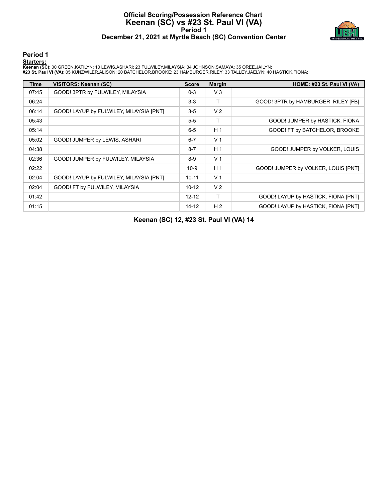#### **Official Scoring/Possession Reference Chart Keenan (SC) vs #23 St. Paul VI (VA) Period 1 December 21, 2021 at Myrtle Beach (SC) Convention Center**



#### **Period 1**

#### **Starters:**

**Keenan (SC)**: 00 GREEN,KATILYN; 10 LEWIS,ASHARI; 23 FULWILEY,MILAYSIA; 34 JOHNSON,SAMAYA; 35 OREE,JAILYN;<br>#**23 St. Paul VI (VA)**: 05 KUNZWILER,ALISON; 20 BATCHELOR,BROOKE; 23 HAMBURGER,RILEY; 33 TALLEY,JAELYN; 40 HASTICK,

| <b>Time</b> | <b>VISITORS: Keenan (SC)</b>            | <b>Score</b> | <b>Margin</b>  | HOME: #23 St. Paul VI (VA)          |
|-------------|-----------------------------------------|--------------|----------------|-------------------------------------|
| 07:45       | GOOD! 3PTR by FULWILEY, MILAYSIA        | $0 - 3$      | $V_3$          |                                     |
| 06:24       |                                         | $3-3$        | т              | GOOD! 3PTR by HAMBURGER, RILEY [FB] |
| 06:14       | GOOD! LAYUP by FULWILEY, MILAYSIA [PNT] | $3-5$        | V <sub>2</sub> |                                     |
| 05:43       |                                         | $5-5$        | т              | GOOD! JUMPER by HASTICK, FIONA      |
| 05:14       |                                         | $6 - 5$      | H <sub>1</sub> | GOOD! FT by BATCHELOR, BROOKE       |
| 05:02       | GOOD! JUMPER by LEWIS, ASHARI           | $6 - 7$      | V <sub>1</sub> |                                     |
| 04:38       |                                         | $8 - 7$      | H <sub>1</sub> | GOOD! JUMPER by VOLKER, LOUIS       |
| 02:36       | GOOD! JUMPER by FULWILEY, MILAYSIA      | $8-9$        | V <sub>1</sub> |                                     |
| 02:22       |                                         | $10-9$       | H <sub>1</sub> | GOOD! JUMPER by VOLKER, LOUIS [PNT] |
| 02:04       | GOOD! LAYUP by FULWILEY, MILAYSIA [PNT] | $10 - 11$    | V <sub>1</sub> |                                     |
| 02:04       | GOOD! FT by FULWILEY, MILAYSIA          | $10-12$      | V <sub>2</sub> |                                     |
| 01:42       |                                         | $12 - 12$    | Τ              | GOOD! LAYUP by HASTICK, FIONA [PNT] |
| 01:15       |                                         | $14 - 12$    | H <sub>2</sub> | GOOD! LAYUP by HASTICK, FIONA [PNT] |

**Keenan (SC) 12, #23 St. Paul VI (VA) 14**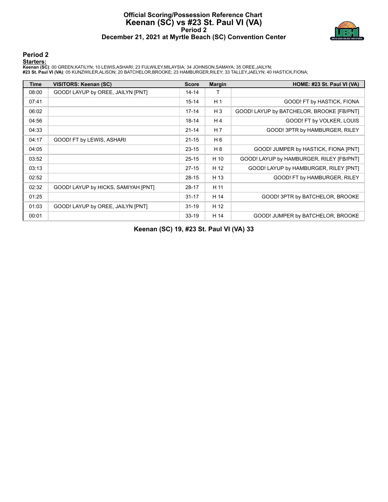#### **Official Scoring/Possession Reference Chart Keenan (SC) vs #23 St. Paul VI (VA) Period 2 December 21, 2021 at Myrtle Beach (SC) Convention Center**



#### **Period 2**

#### **Starters:**

**Keenan (SC)**: 00 GREEN,KATILYN; 10 LEWIS,ASHARI; 23 FULWILEY,MILAYSIA; 34 JOHNSON,SAMAYA; 35 OREE,JAILYN;<br>#**23 St. Paul VI (VA)**: 05 KUNZWILER,ALISON; 20 BATCHELOR,BROOKE; 23 HAMBURGER,RILEY; 33 TALLEY,JAELYN; 40 HASTICK,

| <b>Time</b> | VISITORS: Keenan (SC)               | <b>Score</b> | <b>Margin</b>  | HOME: #23 St. Paul VI (VA)                |
|-------------|-------------------------------------|--------------|----------------|-------------------------------------------|
| 08:00       | GOOD! LAYUP by OREE, JAILYN [PNT]   | $14 - 14$    |                |                                           |
| 07:41       |                                     | $15 - 14$    | H <sub>1</sub> | GOOD! FT by HASTICK, FIONA                |
| 06:02       |                                     | $17 - 14$    | $H_3$          | GOOD! LAYUP by BATCHELOR, BROOKE [FB/PNT] |
| 04:56       |                                     | $18 - 14$    | H 4            | GOOD! FT by VOLKER, LOUIS                 |
| 04:33       |                                     | $21 - 14$    | H <sub>7</sub> | GOOD! 3PTR by HAMBURGER, RILEY            |
| 04:17       | GOOD! FT by LEWIS, ASHARI           | $21 - 15$    | H 6            |                                           |
| 04:05       |                                     | $23 - 15$    | H <sub>8</sub> | GOOD! JUMPER by HASTICK, FIONA [PNT]      |
| 03:52       |                                     | $25 - 15$    | H 10           | GOOD! LAYUP by HAMBURGER, RILEY [FB/PNT]  |
| 03:13       |                                     | $27 - 15$    | H 12           | GOOD! LAYUP by HAMBURGER, RILEY [PNT]     |
| 02:52       |                                     | $28-15$      | H 13           | GOOD! FT by HAMBURGER, RILEY              |
| 02:32       | GOOD! LAYUP by HICKS, SAMIYAH [PNT] | $28 - 17$    | H 11           |                                           |
| 01:25       |                                     | $31 - 17$    | H 14           | GOOD! 3PTR by BATCHELOR, BROOKE           |
| 01:03       | GOOD! LAYUP by OREE, JAILYN [PNT]   | $31 - 19$    | H 12           |                                           |
| 00:01       |                                     | $33 - 19$    | H 14           | GOOD! JUMPER by BATCHELOR, BROOKE         |

**Keenan (SC) 19, #23 St. Paul VI (VA) 33**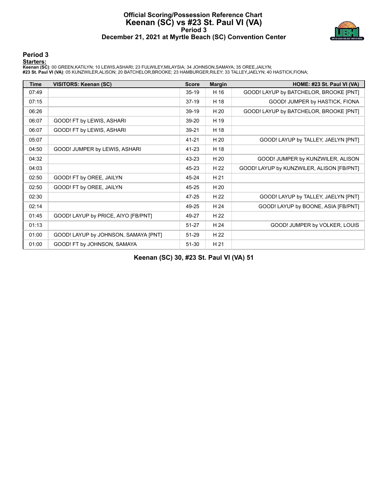#### **Official Scoring/Possession Reference Chart Keenan (SC) vs #23 St. Paul VI (VA) Period 3 December 21, 2021 at Myrtle Beach (SC) Convention Center**



#### **Period 3**

#### **Starters:**

**Keenan (SC)**: 00 GREEN,KATILYN; 10 LEWIS,ASHARI; 23 FULWILEY,MILAYSIA; 34 JOHNSON,SAMAYA; 35 OREE,JAILYN;<br>#**23 St. Paul VI (VA)**: 05 KUNZWILER,ALISON; 20 BATCHELOR,BROOKE; 23 HAMBURGER,RILEY; 33 TALLEY,JAELYN; 40 HASTICK,

| <b>Time</b> | VISITORS: Keenan (SC)                | <b>Score</b> | <b>Margin</b> | HOME: #23 St. Paul VI (VA)                |
|-------------|--------------------------------------|--------------|---------------|-------------------------------------------|
| 07:49       |                                      | $35-19$      | H 16          | GOOD! LAYUP by BATCHELOR, BROOKE [PNT]    |
| 07:15       |                                      | $37-19$      | H 18          | GOOD! JUMPER by HASTICK, FIONA            |
| 06:26       |                                      | 39-19        | H 20          | GOOD! LAYUP by BATCHELOR, BROOKE [PNT]    |
| 06:07       | GOOD! FT by LEWIS, ASHARI            | 39-20        | H 19          |                                           |
| 06:07       | GOOD! FT by LEWIS, ASHARI            | 39-21        | H 18          |                                           |
| 05:07       |                                      | $41 - 21$    | H 20          | GOOD! LAYUP by TALLEY, JAELYN [PNT]       |
| 04:50       | GOOD! JUMPER by LEWIS, ASHARI        | 41-23        | H 18          |                                           |
| 04:32       |                                      | 43-23        | H 20          | GOOD! JUMPER by KUNZWILER, ALISON         |
| 04:03       |                                      | 45-23        | H 22          | GOOD! LAYUP by KUNZWILER, ALISON [FB/PNT] |
| 02:50       | GOOD! FT by OREE, JAILYN             | 45-24        | H 21          |                                           |
| 02:50       | GOOD! FT by OREE, JAILYN             | 45-25        | H 20          |                                           |
| 02:30       |                                      | 47-25        | H 22          | GOOD! LAYUP by TALLEY, JAELYN [PNT]       |
| 02:14       |                                      | 49-25        | H 24          | GOOD! LAYUP by BOONE, ASIA [FB/PNT]       |
| 01:45       | GOOD! LAYUP by PRICE, AIYO [FB/PNT]  | 49-27        | H 22          |                                           |
| 01:13       |                                      | $51 - 27$    | H 24          | GOOD! JUMPER by VOLKER, LOUIS             |
| 01:00       | GOOD! LAYUP by JOHNSON, SAMAYA [PNT] | 51-29        | H 22          |                                           |
| 01:00       | GOOD! FT by JOHNSON, SAMAYA          | 51-30        | H 21          |                                           |

**Keenan (SC) 30, #23 St. Paul VI (VA) 51**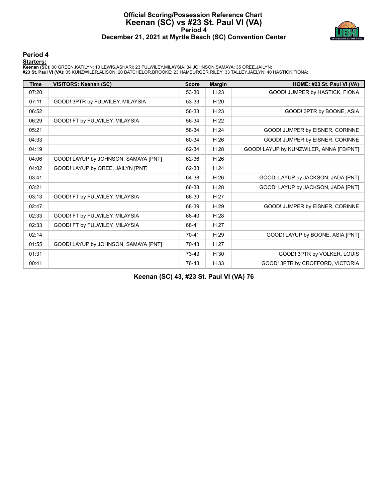#### **Official Scoring/Possession Reference Chart Keenan (SC) vs #23 St. Paul VI (VA) Period 4 December 21, 2021 at Myrtle Beach (SC) Convention Center**



#### **Period 4**

#### **Starters:**

**Keenan (SC)**: 00 GREEN,KATILYN; 10 LEWIS,ASHARI; 23 FULWILEY,MILAYSIA; 34 JOHNSON,SAMAYA; 35 OREE,JAILYN;<br>#**23 St. Paul VI (VA)**: 05 KUNZWILER,ALISON; 20 BATCHELOR,BROOKE; 23 HAMBURGER,RILEY; 33 TALLEY,JAELYN; 40 HASTICK,

| <b>Time</b> | VISITORS: Keenan (SC)                | <b>Score</b> | <b>Margin</b> | HOME: #23 St. Paul VI (VA)              |
|-------------|--------------------------------------|--------------|---------------|-----------------------------------------|
| 07:20       |                                      | 53-30        | H 23          | GOOD! JUMPER by HASTICK, FIONA          |
| 07:11       | GOOD! 3PTR by FULWILEY, MILAYSIA     | 53-33        | H 20          |                                         |
| 06:52       |                                      | 56-33        | H 23          | GOOD! 3PTR by BOONE, ASIA               |
| 06:29       | GOOD! FT by FULWILEY, MILAYSIA       | 56-34        | H 22          |                                         |
| 05:21       |                                      | 58-34        | H 24          | GOOD! JUMPER by EISNER, CORINNE         |
| 04:33       |                                      | 60-34        | H 26          | GOOD! JUMPER by EISNER, CORINNE         |
| 04:19       |                                      | 62-34        | H 28          | GOOD! LAYUP by KUNZWILER, ANNA [FB/PNT] |
| 04:06       | GOOD! LAYUP by JOHNSON, SAMAYA [PNT] | 62-36        | H 26          |                                         |
| 04:02       | GOOD! LAYUP by OREE, JAILYN [PNT]    | 62-38        | H 24          |                                         |
| 03:41       |                                      | 64-38        | H 26          | GOOD! LAYUP by JACKSON, JADA [PNT]      |
| 03:21       |                                      | 66-38        | H 28          | GOOD! LAYUP by JACKSON, JADA [PNT]      |
| 03:13       | GOOD! FT by FULWILEY, MILAYSIA       | 66-39        | H 27          |                                         |
| 02:47       |                                      | 68-39        | H 29          | GOOD! JUMPER by EISNER, CORINNE         |
| 02:33       | GOOD! FT by FULWILEY, MILAYSIA       | 68-40        | H 28          |                                         |
| 02:33       | GOOD! FT by FULWILEY, MILAYSIA       | 68-41        | H 27          |                                         |
| 02:14       |                                      | 70-41        | H 29          | GOOD! LAYUP by BOONE, ASIA [PNT]        |
| 01:55       | GOOD! LAYUP by JOHNSON, SAMAYA [PNT] | 70-43        | H 27          |                                         |
| 01:31       |                                      | 73-43        | H 30          | GOOD! 3PTR by VOLKER, LOUIS             |
| 00:41       |                                      | 76-43        | H 33          | GOOD! 3PTR by CROFFORD, VICTORIA        |

**Keenan (SC) 43, #23 St. Paul VI (VA) 76**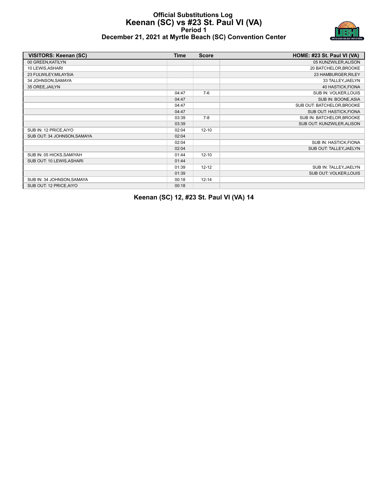#### **Official Substitutions Log Keenan (SC) vs #23 St. Paul VI (VA) Period 1 December 21, 2021 at Myrtle Beach (SC) Convention Center**



| VISITORS: Keenan (SC)       | <b>Time</b> | <b>Score</b> | HOME: #23 St. Paul VI (VA) |
|-----------------------------|-------------|--------------|----------------------------|
| 00 GREEN, KATILYN           |             |              | 05 KUNZWILER, ALISON       |
| 10 LEWIS, ASHARI            |             |              | 20 BATCHELOR, BROOKE       |
| 23 FULWILEY, MILAYSIA       |             |              | 23 HAMBURGER, RILEY        |
| 34 JOHNSON, SAMAYA          |             |              | 33 TALLEY, JAELYN          |
| 35 OREE, JAILYN             |             |              | 40 HASTICK, FIONA          |
|                             | 04:47       | $7-6$        | SUB IN: VOLKER, LOUIS      |
|                             | 04:47       |              | SUB IN: BOONE, ASIA        |
|                             | 04:47       |              | SUB OUT: BATCHELOR, BROOKE |
|                             | 04:47       |              | SUB OUT: HASTICK, FIONA    |
|                             | 03:39       | $7 - 8$      | SUB IN: BATCHELOR, BROOKE  |
|                             | 03:39       |              | SUB OUT: KUNZWILER, ALISON |
| SUB IN: 12 PRICE, AIYO      | 02:04       | $12 - 10$    |                            |
| SUB OUT: 34 JOHNSON, SAMAYA | 02:04       |              |                            |
|                             | 02:04       |              | SUB IN: HASTICK, FIONA     |
|                             | 02:04       |              | SUB OUT: TALLEY, JAELYN    |
| SUB IN: 05 HICKS, SAMIYAH   | 01:44       | $12 - 10$    |                            |
| SUB OUT: 10 LEWIS, ASHARI   | 01:44       |              |                            |
|                             | 01:39       | $12 - 12$    | SUB IN: TALLEY, JAELYN     |
|                             | 01:39       |              | SUB OUT: VOLKER, LOUIS     |
| SUB IN: 34 JOHNSON, SAMAYA  | 00:18       | $12 - 14$    |                            |
| SUB OUT: 12 PRICE, AIYO     | 00:18       |              |                            |

**Keenan (SC) 12, #23 St. Paul VI (VA) 14**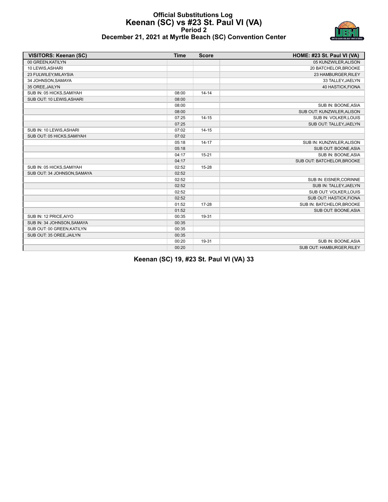#### **Official Substitutions Log Keenan (SC) vs #23 St. Paul VI (VA) Period 2 December 21, 2021 at Myrtle Beach (SC) Convention Center**



| <b>VISITORS: Keenan (SC)</b> | <b>Time</b> | <b>Score</b> | HOME: #23 St. Paul VI (VA) |
|------------------------------|-------------|--------------|----------------------------|
| 00 GREEN.KATILYN             |             |              | 05 KUNZWILER, ALISON       |
| 10 LEWIS, ASHARI             |             |              | 20 BATCHELOR, BROOKE       |
| 23 FULWILEY, MILAYSIA        |             |              | 23 HAMBURGER, RILEY        |
| 34 JOHNSON, SAMAYA           |             |              | 33 TALLEY, JAELYN          |
| 35 OREE, JAILYN              |             |              | 40 HASTICK, FIONA          |
| SUB IN: 05 HICKS, SAMIYAH    | 08:00       | $14 - 14$    |                            |
| SUB OUT: 10 LEWIS, ASHARI    | 08:00       |              |                            |
|                              | 08:00       |              | SUB IN: BOONE, ASIA        |
|                              | 08:00       |              | SUB OUT: KUNZWILER, ALISON |
|                              | 07:25       | $14 - 15$    | SUB IN: VOLKER, LOUIS      |
|                              | 07:25       |              | SUB OUT: TALLEY, JAELYN    |
| SUB IN: 10 LEWIS, ASHARI     | 07:02       | $14 - 15$    |                            |
| SUB OUT: 05 HICKS, SAMIYAH   | 07:02       |              |                            |
|                              | 05:18       | $14 - 17$    | SUB IN: KUNZWILER, ALISON  |
|                              | 05:18       |              | SUB OUT: BOONE, ASIA       |
|                              | 04:17       | $15 - 21$    | SUB IN: BOONE, ASIA        |
|                              | 04:17       |              | SUB OUT: BATCHELOR, BROOKE |
| SUB IN: 05 HICKS, SAMIYAH    | 02:52       | 15-28        |                            |
| SUB OUT: 34 JOHNSON, SAMAYA  | 02:52       |              |                            |
|                              | 02:52       |              | SUB IN: EISNER, CORINNE    |
|                              | 02:52       |              | SUB IN: TALLEY, JAELYN     |
|                              | 02:52       |              | SUB OUT: VOLKER, LOUIS     |
|                              | 02:52       |              | SUB OUT: HASTICK, FIONA    |
|                              | 01:52       | 17-28        | SUB IN: BATCHELOR, BROOKE  |
|                              | 01:52       |              | SUB OUT: BOONE, ASIA       |
| SUB IN: 12 PRICE, AIYO       | 00:35       | 19-31        |                            |
| SUB IN: 34 JOHNSON, SAMAYA   | 00:35       |              |                            |
| SUB OUT: 00 GREEN, KATILYN   | 00:35       |              |                            |
| SUB OUT: 35 OREE, JAILYN     | 00:35       |              |                            |
|                              | 00:20       | 19-31        | SUB IN: BOONE, ASIA        |
|                              | 00:20       |              | SUB OUT: HAMBURGER, RILEY  |

**Keenan (SC) 19, #23 St. Paul VI (VA) 33**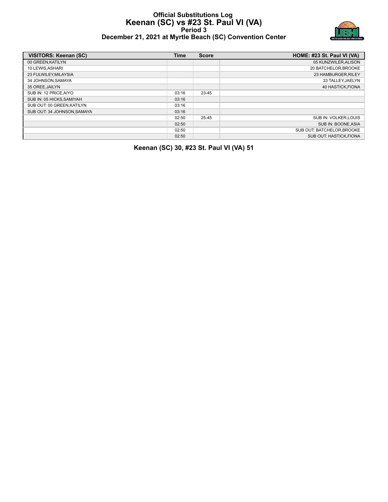#### **Official Substitutions Log Keenan (SC) vs #23 St. Paul VI (VA) Period 3 December 21, 2021 at Myrtle Beach (SC) Convention Center**



| VISITORS: Keenan (SC)      | <b>Time</b> | <b>Score</b> | HOME: #23 St. Paul VI (VA)     |
|----------------------------|-------------|--------------|--------------------------------|
| 00 GREEN, KATILYN          |             |              | 05 KUNZWILER, ALISON           |
| 10 LEWIS, ASHARI           |             |              | 20 BATCHELOR, BROOKE           |
| 23 FULWILEY, MILAYSIA      |             |              | 23 HAMBURGER, RILEY            |
| 34 JOHNSON.SAMAYA          |             |              | 33 TALLEY, JAELYN              |
| 35 OREE.JAILYN             |             |              | 40 HASTICK FIONA               |
| SUB IN: 12 PRICE, AIYO     | 03:16       | 23-45        |                                |
| SUB IN: 05 HICKS.SAMIYAH   | 03:16       |              |                                |
| SUB OUT: 00 GREEN, KATILYN | 03:16       |              |                                |
| SUB OUT: 34 JOHNSON.SAMAYA | 03:16       |              |                                |
|                            | 02:50       | 25-45        | SUB IN: VOLKER.LOUIS           |
|                            | 02:50       |              | SUB IN: BOONE.ASIA             |
|                            | 02:50       |              | SUB OUT: BATCHELOR, BROOKE     |
|                            | 02:50       |              | <b>SUB OUT: HASTICK, FIONA</b> |

**Keenan (SC) 30, #23 St. Paul VI (VA) 51**